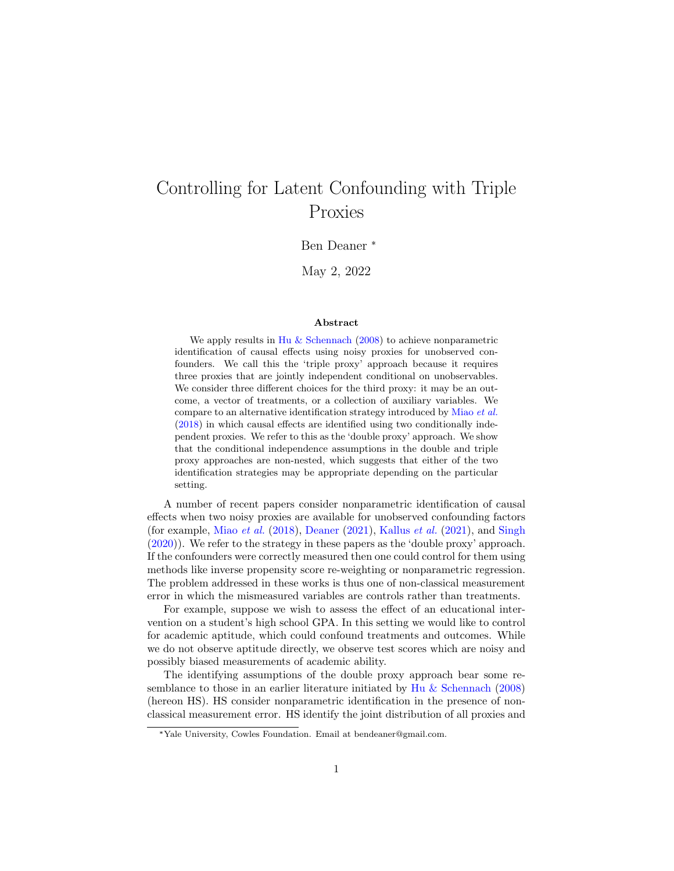# Controlling for Latent Confounding with Triple Proxies

Ben Deaner \*

May 2, 2022

#### Abstract

We apply results in [Hu & Schennach](#page-19-0) [\(2008\)](#page-19-0) to achieve nonparametric identification of causal effects using noisy proxies for unobserved confounders. We call this the 'triple proxy' approach because it requires three proxies that are jointly independent conditional on unobservables. We consider three different choices for the third proxy: it may be an outcome, a vector of treatments, or a collection of auxiliary variables. We compare to an alternative identification strategy introduced by [Miao](#page-19-1) et al. [\(2018\)](#page-19-1) in which causal effects are identified using two conditionally independent proxies. We refer to this as the 'double proxy' approach. We show that the conditional independence assumptions in the double and triple proxy approaches are non-nested, which suggests that either of the two identification strategies may be appropriate depending on the particular setting.

A number of recent papers consider nonparametric identification of causal effects when two noisy proxies are available for unobserved confounding factors (for example, Miao *[et al.](#page-19-1)* [\(2018\)](#page-19-1), [Deaner](#page-18-0) [\(2021\)](#page-19-2), [Kallus](#page-19-2) *et al.* (2021), and [Singh](#page-19-3) [\(2020\)](#page-19-3)). We refer to the strategy in these papers as the 'double proxy' approach. If the confounders were correctly measured then one could control for them using methods like inverse propensity score re-weighting or nonparametric regression. The problem addressed in these works is thus one of non-classical measurement error in which the mismeasured variables are controls rather than treatments.

For example, suppose we wish to assess the effect of an educational intervention on a student's high school GPA. In this setting we would like to control for academic aptitude, which could confound treatments and outcomes. While we do not observe aptitude directly, we observe test scores which are noisy and possibly biased measurements of academic ability.

The identifying assumptions of the double proxy approach bear some re-semblance to those in an earlier literature initiated by [Hu & Schennach](#page-19-0) [\(2008\)](#page-19-0) (hereon HS). HS consider nonparametric identification in the presence of nonclassical measurement error. HS identify the joint distribution of all proxies and

<sup>\*</sup>Yale University, Cowles Foundation. Email at bendeaner@gmail.com.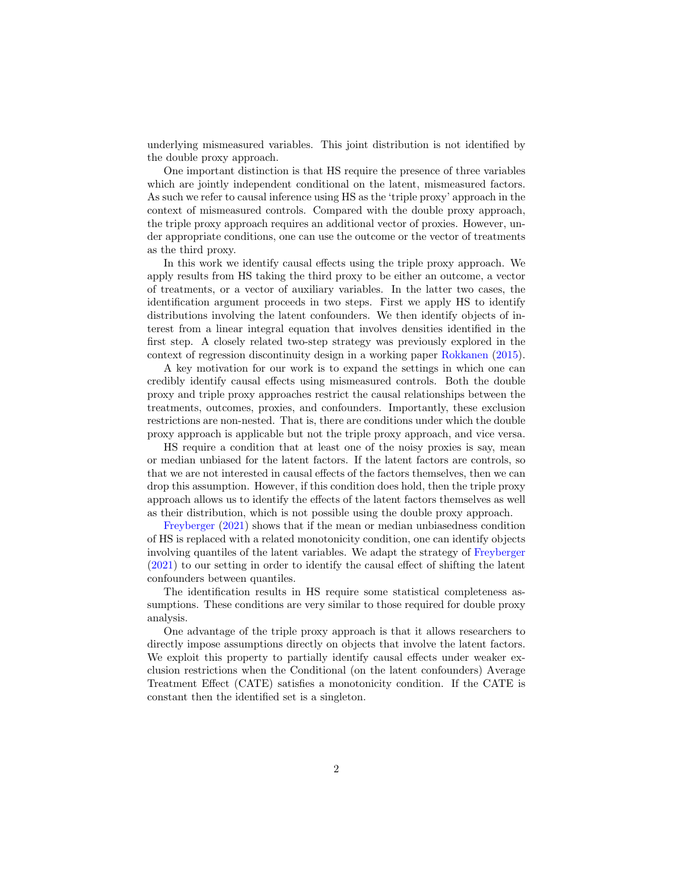underlying mismeasured variables. This joint distribution is not identified by the double proxy approach.

One important distinction is that HS require the presence of three variables which are jointly independent conditional on the latent, mismeasured factors. As such we refer to causal inference using HS as the 'triple proxy' approach in the context of mismeasured controls. Compared with the double proxy approach, the triple proxy approach requires an additional vector of proxies. However, under appropriate conditions, one can use the outcome or the vector of treatments as the third proxy.

In this work we identify causal effects using the triple proxy approach. We apply results from HS taking the third proxy to be either an outcome, a vector of treatments, or a vector of auxiliary variables. In the latter two cases, the identification argument proceeds in two steps. First we apply HS to identify distributions involving the latent confounders. We then identify objects of interest from a linear integral equation that involves densities identified in the first step. A closely related two-step strategy was previously explored in the context of regression discontinuity design in a working paper [Rokkanen](#page-19-4) [\(2015\)](#page-19-4).

A key motivation for our work is to expand the settings in which one can credibly identify causal effects using mismeasured controls. Both the double proxy and triple proxy approaches restrict the causal relationships between the treatments, outcomes, proxies, and confounders. Importantly, these exclusion restrictions are non-nested. That is, there are conditions under which the double proxy approach is applicable but not the triple proxy approach, and vice versa.

HS require a condition that at least one of the noisy proxies is say, mean or median unbiased for the latent factors. If the latent factors are controls, so that we are not interested in causal effects of the factors themselves, then we can drop this assumption. However, if this condition does hold, then the triple proxy approach allows us to identify the effects of the latent factors themselves as well as their distribution, which is not possible using the double proxy approach.

[Freyberger](#page-18-1) [\(2021\)](#page-18-1) shows that if the mean or median unbiasedness condition of HS is replaced with a related monotonicity condition, one can identify objects involving quantiles of the latent variables. We adapt the strategy of [Freyberger](#page-18-1) [\(2021\)](#page-18-1) to our setting in order to identify the causal effect of shifting the latent confounders between quantiles.

The identification results in HS require some statistical completeness assumptions. These conditions are very similar to those required for double proxy analysis.

One advantage of the triple proxy approach is that it allows researchers to directly impose assumptions directly on objects that involve the latent factors. We exploit this property to partially identify causal effects under weaker exclusion restrictions when the Conditional (on the latent confounders) Average Treatment Effect (CATE) satisfies a monotonicity condition. If the CATE is constant then the identified set is a singleton.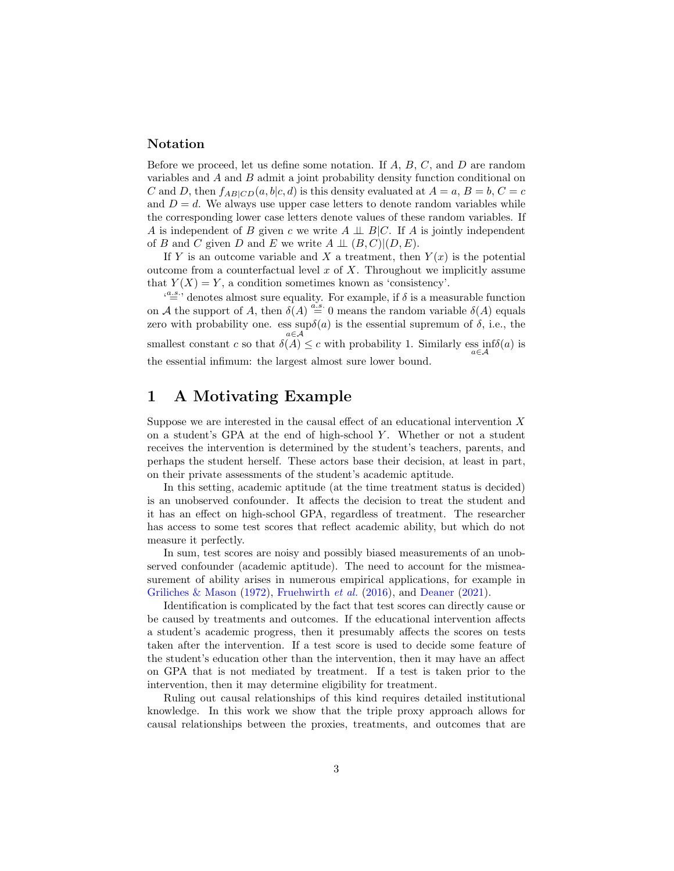#### Notation

Before we proceed, let us define some notation. If  $A, B, C$ , and  $D$  are random variables and A and B admit a joint probability density function conditional on C and D, then  $f_{AB|CD}(a, b|c, d)$  is this density evaluated at  $A = a, B = b, C = c$ and  $D = d$ . We always use upper case letters to denote random variables while the corresponding lower case letters denote values of these random variables. If A is independent of B given c we write  $A \perp \!\!\!\perp B/C$ . If A is jointly independent of B and C given D and E we write  $A \perp \!\!\!\perp (B, C)| (D, E)$ .

If Y is an outcome variable and X a treatment, then  $Y(x)$  is the potential outcome from a counterfactual level  $x$  of  $X$ . Throughout we implicitly assume that  $Y(X) = Y$ , a condition sometimes known as 'consistency'.

 $\mathcal{L}^{\{a.s.}\}$  denotes almost sure equality. For example, if  $\delta$  is a measurable function on A the support of A, then  $\delta(A) \stackrel{a.s.}{=} 0$  means the random variable  $\delta(A)$  equals zero with probability one. ess  $\sup \delta(a)$  is the essential supremum of  $\delta$ , i.e., the a∈A smallest constant c so that  $\delta(A) \leq c$  with probability 1. Similarly ess  $\inf_{a \in \mathcal{A}} \delta(a)$  is the essential infimum: the largest almost sure lower bound.

### 1 A Motivating Example

Suppose we are interested in the causal effect of an educational intervention  $X$ on a student's GPA at the end of high-school  $Y$ . Whether or not a student receives the intervention is determined by the student's teachers, parents, and perhaps the student herself. These actors base their decision, at least in part, on their private assessments of the student's academic aptitude.

In this setting, academic aptitude (at the time treatment status is decided) is an unobserved confounder. It affects the decision to treat the student and it has an effect on high-school GPA, regardless of treatment. The researcher has access to some test scores that reflect academic ability, but which do not measure it perfectly.

In sum, test scores are noisy and possibly biased measurements of an unobserved confounder (academic aptitude). The need to account for the mismeasurement of ability arises in numerous empirical applications, for example in [Griliches & Mason](#page-19-5) [\(1972\)](#page-19-5), [Fruehwirth](#page-18-2)  $et$  al. [\(2016\)](#page-18-2), and [Deaner](#page-18-0) [\(2021\)](#page-18-0).

Identification is complicated by the fact that test scores can directly cause or be caused by treatments and outcomes. If the educational intervention affects a student's academic progress, then it presumably affects the scores on tests taken after the intervention. If a test score is used to decide some feature of the student's education other than the intervention, then it may have an affect on GPA that is not mediated by treatment. If a test is taken prior to the intervention, then it may determine eligibility for treatment.

Ruling out causal relationships of this kind requires detailed institutional knowledge. In this work we show that the triple proxy approach allows for causal relationships between the proxies, treatments, and outcomes that are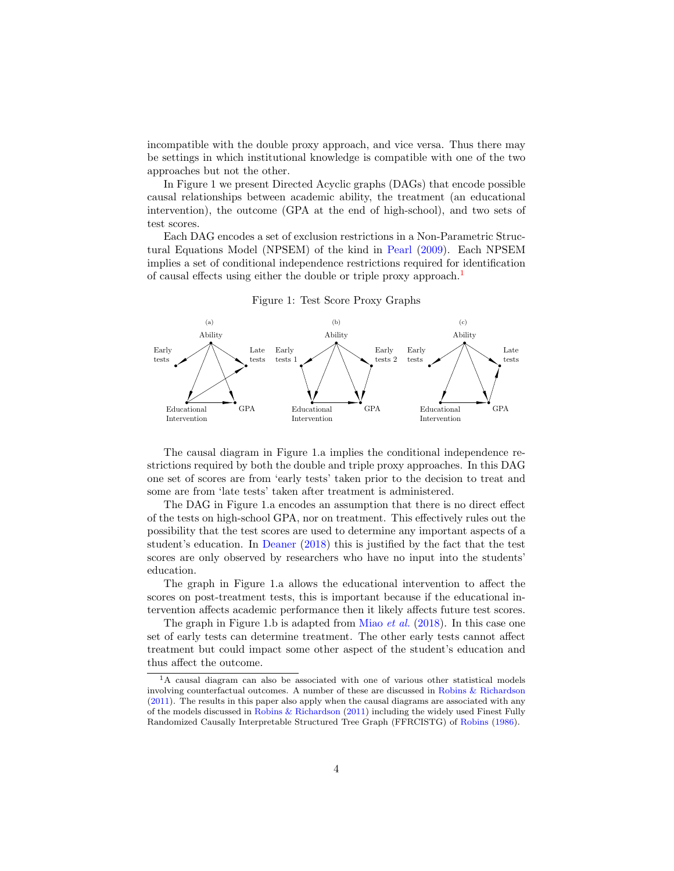incompatible with the double proxy approach, and vice versa. Thus there may be settings in which institutional knowledge is compatible with one of the two approaches but not the other.

In Figure 1 we present Directed Acyclic graphs (DAGs) that encode possible causal relationships between academic ability, the treatment (an educational intervention), the outcome (GPA at the end of high-school), and two sets of test scores.

Each DAG encodes a set of exclusion restrictions in a Non-Parametric Structural Equations Model (NPSEM) of the kind in [Pearl](#page-19-6) [\(2009\)](#page-19-6). Each NPSEM implies a set of conditional independence restrictions required for identification of causal effects using either the double or triple proxy approach.<sup>[1](#page-3-0)</sup>



Figure 1: Test Score Proxy Graphs

The causal diagram in Figure 1.a implies the conditional independence restrictions required by both the double and triple proxy approaches. In this DAG one set of scores are from 'early tests' taken prior to the decision to treat and some are from 'late tests' taken after treatment is administered.

The DAG in Figure 1.a encodes an assumption that there is no direct effect of the tests on high-school GPA, nor on treatment. This effectively rules out the possibility that the test scores are used to determine any important aspects of a student's education. In [Deaner](#page-18-3) [\(2018\)](#page-18-3) this is justified by the fact that the test scores are only observed by researchers who have no input into the students' education.

The graph in Figure 1.a allows the educational intervention to affect the scores on post-treatment tests, this is important because if the educational intervention affects academic performance then it likely affects future test scores.

The graph in Figure 1.b is adapted from [Miao](#page-19-1) *et al.* [\(2018\)](#page-19-1). In this case one set of early tests can determine treatment. The other early tests cannot affect treatment but could impact some other aspect of the student's education and thus affect the outcome.

<span id="page-3-0"></span><sup>1</sup>A causal diagram can also be associated with one of various other statistical models involving counterfactual outcomes. A number of these are discussed in [Robins & Richardson](#page-19-7) [\(2011\)](#page-19-7). The results in this paper also apply when the causal diagrams are associated with any of the models discussed in [Robins & Richardson](#page-19-7) [\(2011\)](#page-19-7) including the widely used Finest Fully Randomized Causally Interpretable Structured Tree Graph (FFRCISTG) of [Robins](#page-19-8) [\(1986\)](#page-19-8).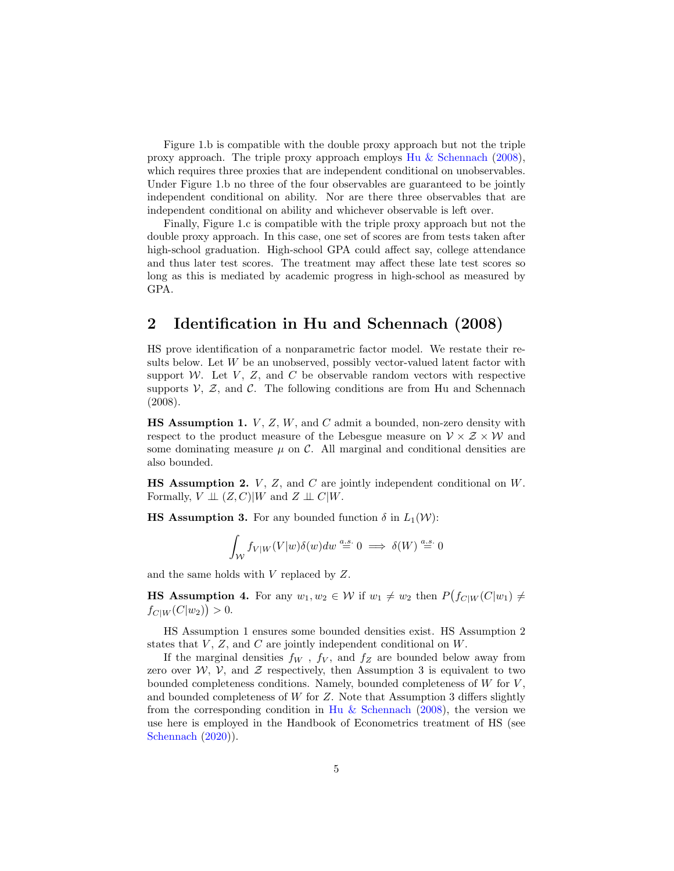Figure 1.b is compatible with the double proxy approach but not the triple proxy approach. The triple proxy approach employs [Hu & Schennach](#page-19-0) [\(2008\)](#page-19-0), which requires three proxies that are independent conditional on unobservables. Under Figure 1.b no three of the four observables are guaranteed to be jointly independent conditional on ability. Nor are there three observables that are independent conditional on ability and whichever observable is left over.

Finally, Figure 1.c is compatible with the triple proxy approach but not the double proxy approach. In this case, one set of scores are from tests taken after high-school graduation. High-school GPA could affect say, college attendance and thus later test scores. The treatment may affect these late test scores so long as this is mediated by academic progress in high-school as measured by GPA.

## 2 Identification in Hu and Schennach (2008)

HS prove identification of a nonparametric factor model. We restate their results below. Let  $W$  be an unobserved, possibly vector-valued latent factor with support  $W$ . Let  $V$ ,  $Z$ , and  $C$  be observable random vectors with respective supports  $\mathcal{V}, \mathcal{Z},$  and  $\mathcal{C}$ . The following conditions are from Hu and Schennach (2008).

**HS Assumption 1.**  $V$ ,  $Z$ ,  $W$ , and  $C$  admit a bounded, non-zero density with respect to the product measure of the Lebesgue measure on  $V \times Z \times W$  and some dominating measure  $\mu$  on C. All marginal and conditional densities are also bounded.

**HS Assumption 2.**  $V$ ,  $Z$ , and  $C$  are jointly independent conditional on  $W$ . Formally,  $V \perp\!\!\!\perp (Z, C)|W$  and  $Z \perp\!\!\!\perp C|W$ .

**HS Assumption 3.** For any bounded function  $\delta$  in  $L_1(\mathcal{W})$ :

$$
\int_{\mathcal{W}} f_{V|W}(V|w)\delta(w)dw \stackrel{a.s.}{=} 0 \implies \delta(W) \stackrel{a.s.}{=} 0
$$

and the same holds with V replaced by Z.

**HS Assumption 4.** For any  $w_1, w_2 \in W$  if  $w_1 \neq w_2$  then  $P(f_{C|W}(C|w_1) \neq$  $f_{C|W}(C|w_2)\big) > 0.$ 

HS Assumption 1 ensures some bounded densities exist. HS Assumption 2 states that  $V, Z$ , and  $C$  are jointly independent conditional on  $W$ .

If the marginal densities  $f_W$ ,  $f_V$ , and  $f_Z$  are bounded below away from zero over  $W$ ,  $V$ , and  $Z$  respectively, then Assumption 3 is equivalent to two bounded completeness conditions. Namely, bounded completeness of  $W$  for  $V$ , and bounded completeness of  $W$  for  $Z$ . Note that Assumption 3 differs slightly from the corresponding condition in [Hu & Schennach](#page-19-0) [\(2008\)](#page-19-0), the version we use here is employed in the Handbook of Econometrics treatment of HS (see [Schennach](#page-19-9) [\(2020\)](#page-19-9)).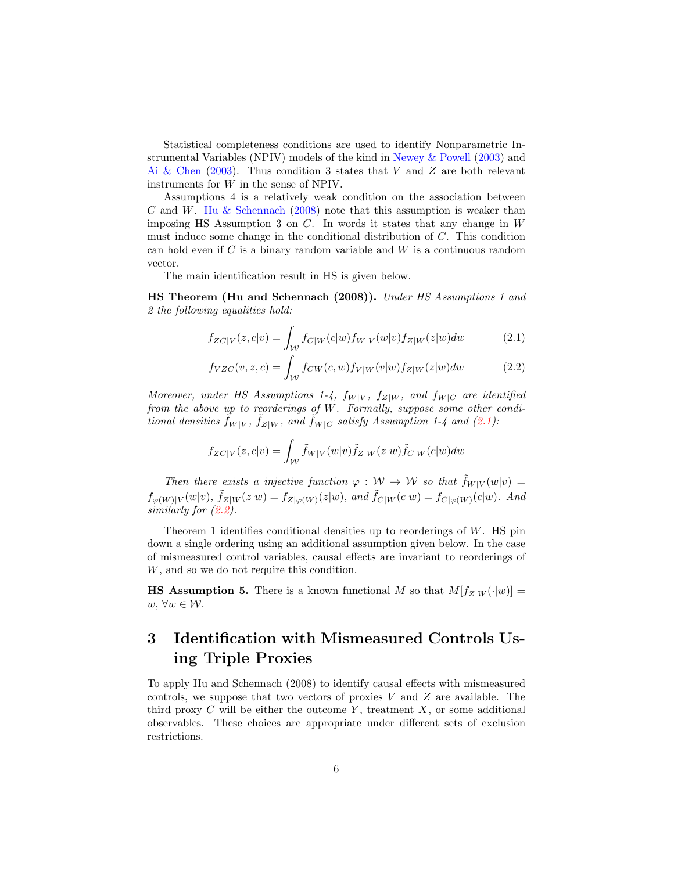Statistical completeness conditions are used to identify Nonparametric Instrumental Variables (NPIV) models of the kind in [Newey & Powell](#page-19-10) [\(2003\)](#page-19-10) and [Ai & Chen](#page-18-4)  $(2003)$ . Thus condition 3 states that V and Z are both relevant instruments for W in the sense of NPIV.

Assumptions 4 is a relatively weak condition on the association between  $C$  and  $W$ . [Hu & Schennach](#page-19-0) [\(2008\)](#page-19-0) note that this assumption is weaker than imposing HS Assumption 3 on  $C$ . In words it states that any change in  $W$ must induce some change in the conditional distribution of C. This condition can hold even if  $C$  is a binary random variable and  $W$  is a continuous random vector.

The main identification result in HS is given below.

HS Theorem (Hu and Schennach (2008)). Under HS Assumptions 1 and 2 the following equalities hold:

<span id="page-5-0"></span>
$$
f_{ZC|V}(z,c|v) = \int_{\mathcal{W}} f_{C|W}(c|w) f_{W|V}(w|v) f_{Z|W}(z|w) dw \tag{2.1}
$$

<span id="page-5-1"></span>
$$
f_{VZC}(v, z, c) = \int_{\mathcal{W}} f_{CW}(c, w) f_{V|W}(v|w) f_{Z|W}(z|w) dw \tag{2.2}
$$

Moreover, under HS Assumptions 1-4,  $f_{W|V}$ ,  $f_{Z|W}$ , and  $f_{W|C}$  are identified from the above up to reorderings of W. Formally, suppose some other conditional densities  $\tilde{f}_{W|V}$ ,  $\tilde{f}_{Z|W}$ , and  $\tilde{f}_{W|C}$  satisfy Assumption 1-4 and [\(2.1\)](#page-5-0):

$$
f_{ZC|V}(z,c|v) = \int_{\mathcal{W}} \tilde{f}_{W|V}(w|v) \tilde{f}_{Z|W}(z|w) \tilde{f}_{C|W}(c|w) dw
$$

Then there exists a injective function  $\varphi : W \to W$  so that  $\tilde{f}_{W|V}(w|v) =$  $f_{\varphi(W)|V}(w|v), \tilde{f}_{Z|W}(z|w) = f_{Z|\varphi(W)}(z|w), \text{ and } \tilde{f}_{C|W}(c|w) = f_{C|\varphi(W)}(c|w).$  And similarly for [\(2.2\)](#page-5-1).

Theorem 1 identifies conditional densities up to reorderings of W. HS pin down a single ordering using an additional assumption given below. In the case of mismeasured control variables, causal effects are invariant to reorderings of W, and so we do not require this condition.

**HS Assumption 5.** There is a known functional M so that  $M[f_{Z|W}(\cdot|w)] =$  $w, ∀w ∈ W$ .

# 3 Identification with Mismeasured Controls Using Triple Proxies

To apply Hu and Schennach (2008) to identify causal effects with mismeasured controls, we suppose that two vectors of proxies  $V$  and  $Z$  are available. The third proxy  $C$  will be either the outcome  $Y$ , treatment  $X$ , or some additional observables. These choices are appropriate under different sets of exclusion restrictions.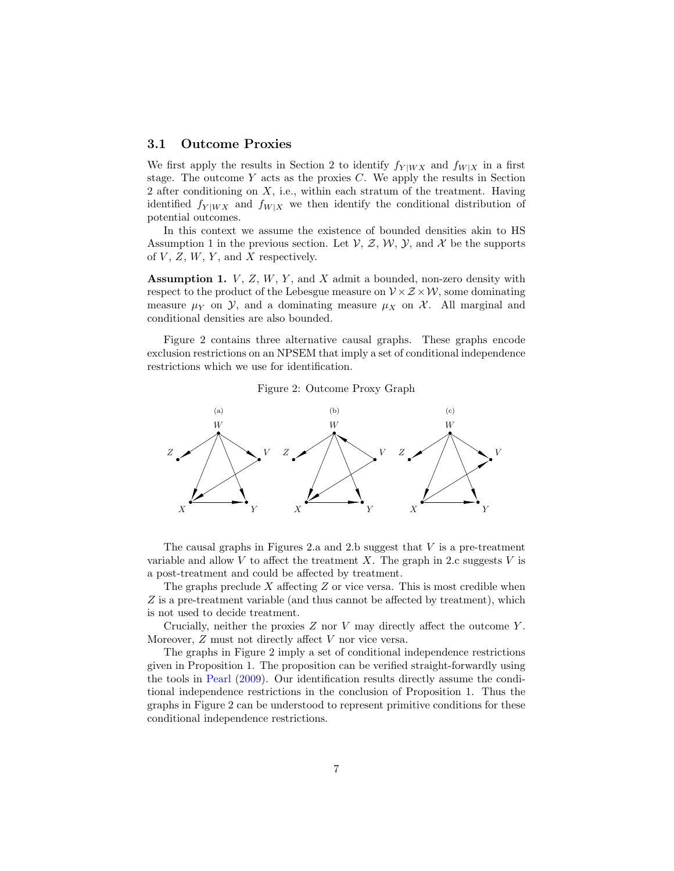#### 3.1 Outcome Proxies

We first apply the results in Section 2 to identify  $f_{Y|WX}$  and  $f_{W|X}$  in a first stage. The outcome  $Y$  acts as the proxies  $C$ . We apply the results in Section 2 after conditioning on  $X$ , i.e., within each stratum of the treatment. Having identified  $f_{Y|WX}$  and  $f_{W|X}$  we then identify the conditional distribution of potential outcomes.

In this context we assume the existence of bounded densities akin to HS Assumption 1 in the previous section. Let  $\mathcal{V}, \mathcal{Z}, \mathcal{W}, \mathcal{Y}$ , and X be the supports of  $V, Z, W, Y$ , and X respectively.

Assumption 1.  $V, Z, W, Y$ , and X admit a bounded, non-zero density with respect to the product of the Lebesgue measure on  $\mathcal{V} \times \mathcal{Z} \times \mathcal{W}$ , some dominating measure  $\mu_Y$  on  $\mathcal{Y}$ , and a dominating measure  $\mu_X$  on  $\mathcal{X}$ . All marginal and conditional densities are also bounded.

Figure 2 contains three alternative causal graphs. These graphs encode exclusion restrictions on an NPSEM that imply a set of conditional independence restrictions which we use for identification.

Figure 2: Outcome Proxy Graph



The causal graphs in Figures 2.a and 2.b suggest that  $V$  is a pre-treatment variable and allow  $V$  to affect the treatment  $X$ . The graph in 2.c suggests  $V$  is a post-treatment and could be affected by treatment.

The graphs preclude  $X$  affecting  $Z$  or vice versa. This is most credible when Z is a pre-treatment variable (and thus cannot be affected by treatment), which is not used to decide treatment.

Crucially, neither the proxies  $Z$  nor  $V$  may directly affect the outcome  $Y$ . Moreover, Z must not directly affect V nor vice versa.

The graphs in Figure 2 imply a set of conditional independence restrictions given in Proposition 1. The proposition can be verified straight-forwardly using the tools in [Pearl](#page-19-6) [\(2009\)](#page-19-6). Our identification results directly assume the conditional independence restrictions in the conclusion of Proposition 1. Thus the graphs in Figure 2 can be understood to represent primitive conditions for these conditional independence restrictions.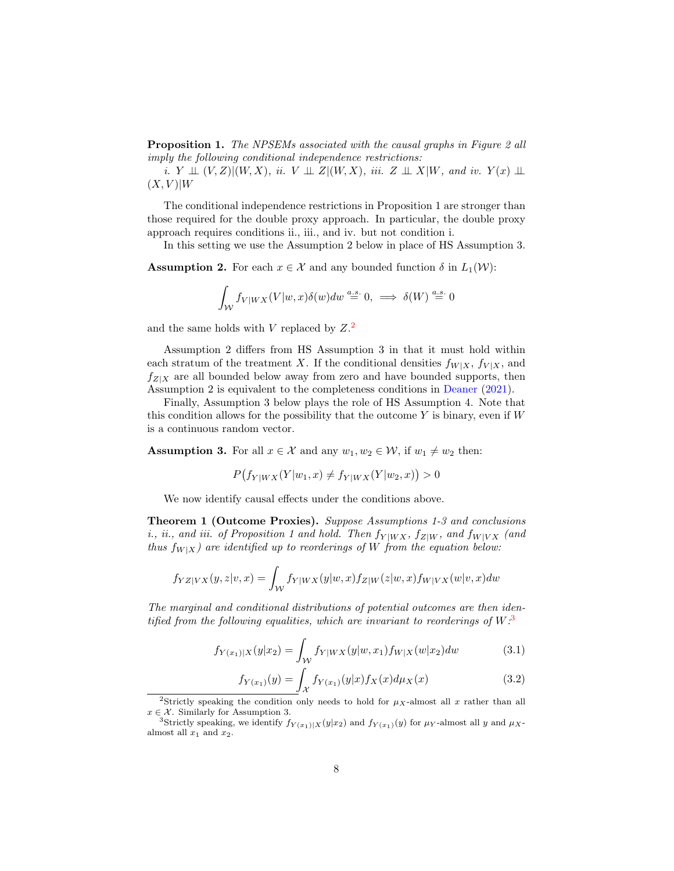**Proposition 1.** The NPSEMs associated with the causal graphs in Figure 2 all imply the following conditional independence restrictions:

i.  $Y \perp\!\!\!\perp (V, Z)| (W, X),$  ii.  $V \perp\!\!\!\perp Z | (W, X),$  iii.  $Z \perp\!\!\!\perp X | W$ , and iv.  $Y(x) \perp\!\!\!\perp$  $(X, V)|W$ 

The conditional independence restrictions in Proposition 1 are stronger than those required for the double proxy approach. In particular, the double proxy approach requires conditions ii., iii., and iv. but not condition i.

In this setting we use the Assumption 2 below in place of HS Assumption 3.

**Assumption 2.** For each  $x \in \mathcal{X}$  and any bounded function  $\delta$  in  $L_1(\mathcal{W})$ :

$$
\int_{\mathcal{W}} f_{V|WX}(V|w,x)\delta(w)dw \stackrel{a.s.}{=} 0, \implies \delta(W) \stackrel{a.s.}{=} 0
$$

and the same holds with V replaced by  $Z<sup>2</sup>$  $Z<sup>2</sup>$  $Z<sup>2</sup>$ .

Assumption 2 differs from HS Assumption 3 in that it must hold within each stratum of the treatment X. If the conditional densities  $f_{W|X}$ ,  $f_{V|X}$ , and  $f_{Z|X}$  are all bounded below away from zero and have bounded supports, then Assumption 2 is equivalent to the completeness conditions in [Deaner](#page-18-0) [\(2021\)](#page-18-0).

Finally, Assumption 3 below plays the role of HS Assumption 4. Note that this condition allows for the possibility that the outcome  $Y$  is binary, even if  $W$ is a continuous random vector.

**Assumption 3.** For all  $x \in \mathcal{X}$  and any  $w_1, w_2 \in \mathcal{W}$ , if  $w_1 \neq w_2$  then:

$$
P(f_{Y|WX}(Y|w_1, x) \neq f_{Y|WX}(Y|w_2, x)) > 0
$$

We now identify causal effects under the conditions above.

Theorem 1 (Outcome Proxies). Suppose Assumptions 1-3 and conclusions *i., ii., and iii. of Proposition 1 and hold. Then*  $f_{Y|WX}$ ,  $f_{Z|W}$ , and  $f_{W|VX}$  (and thus  $f_{W|X}$ ) are identified up to reorderings of W from the equation below:

$$
f_{YZ|VX}(y,z|v,x) = \int_{\mathcal{W}} f_{Y|WX}(y|w,x) f_{Z|W}(z|w,x) f_{W|VX}(w|v,x) dw
$$

The marginal and conditional distributions of potential outcomes are then identified from the following equalities, which are invariant to reorderings of  $W$ .<sup>[3](#page-7-1)</sup>

$$
f_{Y(x_1)|X}(y|x_2) = \int_{\mathcal{W}} f_{Y|WX}(y|w, x_1) f_{W|X}(w|x_2) dw \tag{3.1}
$$

<span id="page-7-3"></span><span id="page-7-2"></span>
$$
f_{Y(x_1)}(y) = \int_{\mathcal{X}} f_{Y(x_1)}(y|x) f_X(x) d\mu_X(x) \tag{3.2}
$$

<span id="page-7-0"></span><sup>&</sup>lt;sup>2</sup>Strictly speaking the condition only needs to hold for  $\mu_X$ -almost all x rather than all  $x \in \mathcal{X}$ . Similarly for Assumption 3.

<span id="page-7-1"></span><sup>&</sup>lt;sup>3</sup>Strictly speaking, we identify  $f_{Y(x_1)|X}(y|x_2)$  and  $f_{Y(x_1)}(y)$  for  $\mu_Y$ -almost all y and  $\mu_X$ almost all  $x_1$  and  $x_2$ .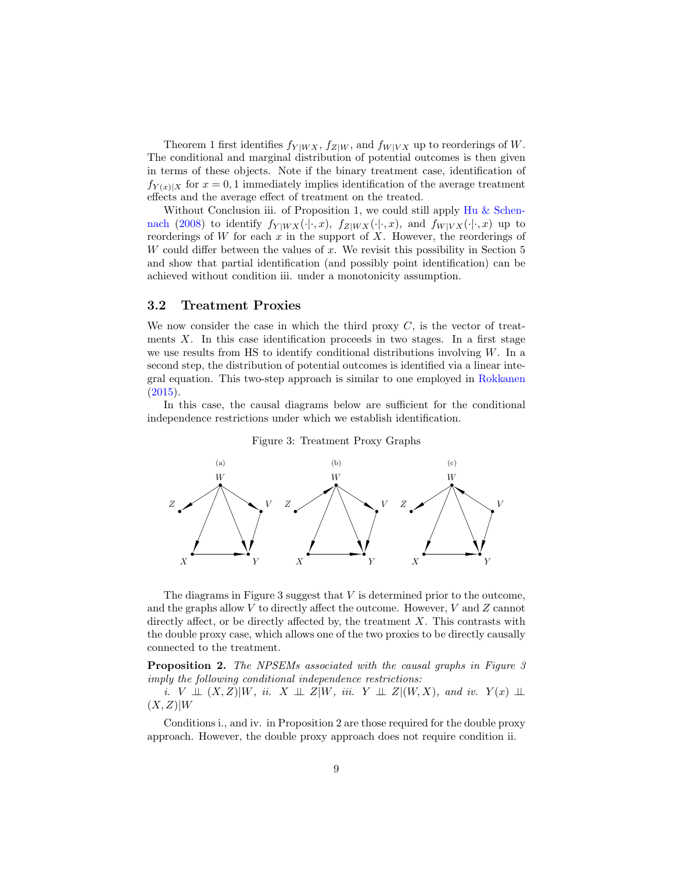Theorem 1 first identifies  $f_{Y|WX}$ ,  $f_{Z|W}$ , and  $f_{W|VX}$  up to reorderings of W. The conditional and marginal distribution of potential outcomes is then given in terms of these objects. Note if the binary treatment case, identification of  $f_{Y(x)|X}$  for  $x = 0,1$  immediately implies identification of the average treatment effects and the average effect of treatment on the treated.

Without Conclusion iii. of Proposition 1, we could still apply [Hu & Schen](#page-19-0)[nach](#page-19-0) [\(2008\)](#page-19-0) to identify  $f_{Y|WX}(\cdot|\cdot, x)$ ,  $f_{Z|WX}(\cdot|\cdot, x)$ , and  $f_{W|VX}(\cdot|\cdot, x)$  up to reorderings of W for each  $x$  in the support of  $X$ . However, the reorderings of W could differ between the values of x. We revisit this possibility in Section  $5$ and show that partial identification (and possibly point identification) can be achieved without condition iii. under a monotonicity assumption.

#### 3.2 Treatment Proxies

We now consider the case in which the third proxy  $C$ , is the vector of treatments  $X$ . In this case identification proceeds in two stages. In a first stage we use results from HS to identify conditional distributions involving  $W$ . In a second step, the distribution of potential outcomes is identified via a linear integral equation. This two-step approach is similar to one employed in [Rokkanen](#page-19-4)  $(2015).$  $(2015).$ 

In this case, the causal diagrams below are sufficient for the conditional independence restrictions under which we establish identification.



Figure 3: Treatment Proxy Graphs

The diagrams in Figure 3 suggest that  $V$  is determined prior to the outcome, and the graphs allow  $V$  to directly affect the outcome. However,  $V$  and  $Z$  cannot directly affect, or be directly affected by, the treatment  $X$ . This contrasts with the double proxy case, which allows one of the two proxies to be directly causally connected to the treatment.

Proposition 2. The NPSEMs associated with the causal graphs in Figure 3 imply the following conditional independence restrictions:

i. V  $\perp\!\!\!\perp (X,Z)|W,$  ii.  $X \perp\!\!\!\!\perp Z|W,$  iii.  $Y \perp\!\!\!\!\perp Z|(W,X)$ , and iv.  $Y(x) \perp\!\!\!\!\perp$  $(X, Z)|W$ 

Conditions i., and iv. in Proposition 2 are those required for the double proxy approach. However, the double proxy approach does not require condition ii.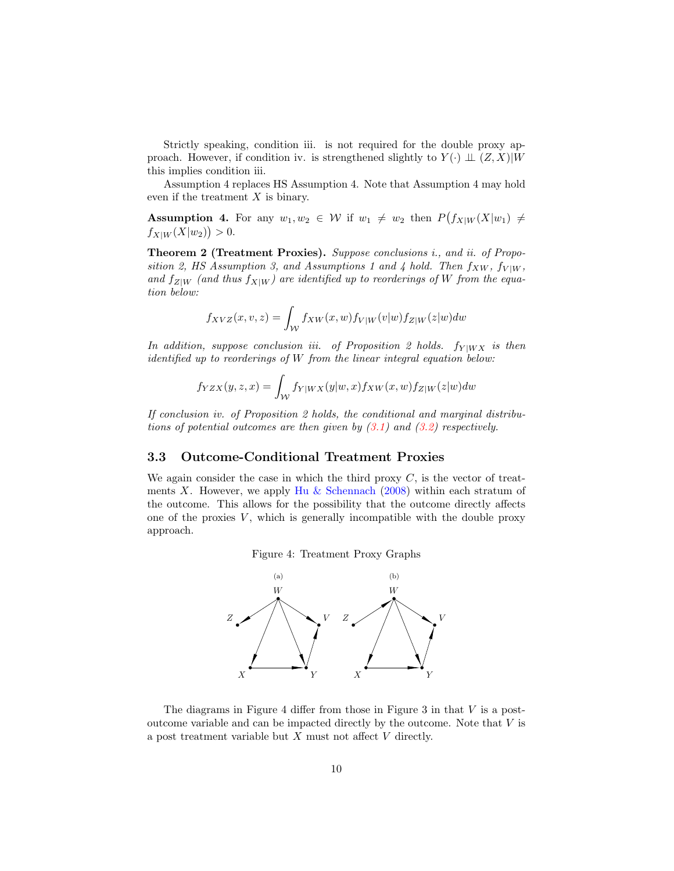Strictly speaking, condition iii. is not required for the double proxy approach. However, if condition iv. is strengthened slightly to  $Y(\cdot) \perp (Z, X)|W$ this implies condition iii.

Assumption 4 replaces HS Assumption 4. Note that Assumption 4 may hold even if the treatment  $X$  is binary.

**Assumption 4.** For any  $w_1, w_2 \in W$  if  $w_1 \neq w_2$  then  $P(f_{X|W}(X|w_1) \neq w_2)$  $f_{X|W}(X|w_2)\big) > 0.$ 

Theorem 2 (Treatment Proxies). Suppose conclusions i., and ii. of Proposition 2, HS Assumption 3, and Assumptions 1 and 4 hold. Then  $f_{XW}$ ,  $f_{V|W}$ , and  $f_{Z|W}$  (and thus  $f_{X|W}$ ) are identified up to reorderings of W from the equation below:

$$
f_{XYZ}(x,v,z) = \int_{\mathcal{W}} f_{XW}(x,w) f_{V|W}(v|w) f_{Z|W}(z|w) dw
$$

In addition, suppose conclusion iii. of Proposition 2 holds.  $f_{Y|WX}$  is then identified up to reorderings of W from the linear integral equation below:

$$
f_{YZX}(y,z,x) = \int_{\mathcal{W}} f_{Y|WX}(y|w,x) f_{XW}(x,w) f_{Z|W}(z|w) dw
$$

If conclusion iv. of Proposition 2 holds, the conditional and marginal distributions of potential outcomes are then given by  $(3.1)$  and  $(3.2)$  respectively.

#### 3.3 Outcome-Conditional Treatment Proxies

We again consider the case in which the third proxy  $C$ , is the vector of treat-ments X. However, we apply [Hu & Schennach](#page-19-0) [\(2008\)](#page-19-0) within each stratum of the outcome. This allows for the possibility that the outcome directly affects one of the proxies  $V$ , which is generally incompatible with the double proxy approach.





The diagrams in Figure 4 differ from those in Figure 3 in that  $V$  is a postoutcome variable and can be impacted directly by the outcome. Note that V is a post treatment variable but  $X$  must not affect  $V$  directly.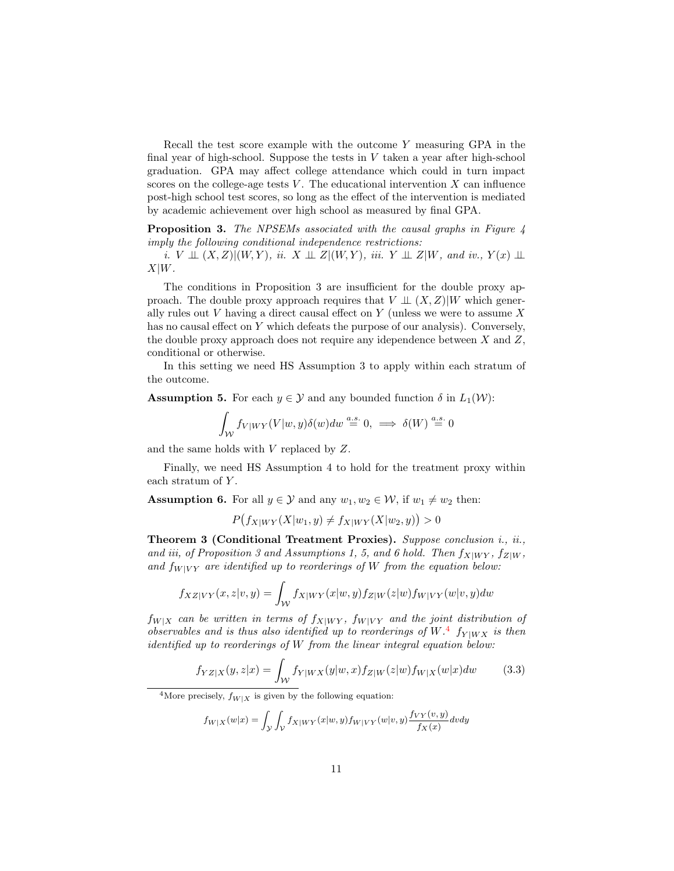Recall the test score example with the outcome Y measuring GPA in the final year of high-school. Suppose the tests in  $V$  taken a year after high-school graduation. GPA may affect college attendance which could in turn impact scores on the college-age tests  $V$ . The educational intervention  $X$  can influence post-high school test scores, so long as the effect of the intervention is mediated by academic achievement over high school as measured by final GPA.

Proposition 3. The NPSEMs associated with the causal graphs in Figure 4 imply the following conditional independence restrictions:

i.  $V \perp\!\!\!\perp (X,Z)|(W,Y)$ , ii.  $X \perp\!\!\!\perp Z|(W,Y)$ , iii.  $Y \perp\!\!\!\perp Z|W$ , and iv.,  $Y(x) \perp\!\!\!\perp$  $X|W$ .

The conditions in Proposition 3 are insufficient for the double proxy approach. The double proxy approach requires that  $V \perp (X, Z)|W$  which generally rules out  $V$  having a direct causal effect on  $Y$  (unless we were to assume  $X$ has no causal effect on Y which defeats the purpose of our analysis). Conversely, the double proxy approach does not require any idependence between  $X$  and  $Z$ , conditional or otherwise.

In this setting we need HS Assumption 3 to apply within each stratum of the outcome.

**Assumption 5.** For each  $y \in \mathcal{Y}$  and any bounded function  $\delta$  in  $L_1(\mathcal{W})$ :

$$
\int_{\mathcal{W}} f_{V|WY}(V|w,y)\delta(w)dw \stackrel{a.s.}{=} 0, \implies \delta(W) \stackrel{a.s.}{=} 0
$$

and the same holds with V replaced by Z.

Finally, we need HS Assumption 4 to hold for the treatment proxy within each stratum of Y.

**Assumption 6.** For all  $y \in \mathcal{Y}$  and any  $w_1, w_2 \in \mathcal{W}$ , if  $w_1 \neq w_2$  then:

$$
P(f_{X|WY}(X|w_1, y) \neq f_{X|WY}(X|w_2, y)) > 0
$$

Theorem 3 (Conditional Treatment Proxies). Suppose conclusion i., ii., and iii, of Proposition 3 and Assumptions 1, 5, and 6 hold. Then  $f_{X|WY}$ ,  $f_{Z|W}$ , and  $f_{W|VY}$  are identified up to reorderings of W from the equation below:

$$
f_{XZ|VY}(x,z|v,y)=\int_{\mathcal{W}}f_{X|WY}(x|w,y)f_{Z|W}(z|w)f_{W|VY}(w|v,y)dw
$$

 $f_{W|X}$  can be written in terms of  $f_{X|WY}$ ,  $f_{W|VY}$  and the joint distribution of observables and is thus also identified up to reorderings of  $W^4$  $W^4$   $f_{Y|WX}$  is then identified up to reorderings of W from the linear integral equation below:

$$
f_{YZ|X}(y,z|x) = \int_{\mathcal{W}} f_{Y|WX}(y|w,x) f_{Z|W}(z|w) f_{W|X}(w|x) dw \qquad (3.3)
$$

<span id="page-10-0"></span><sup>4</sup>More precisely,  $f_{W|X}$  is given by the following equation:

$$
f_{W|X}(w|x)=\int_{\mathcal{Y}}\int_{\mathcal{V}}f_{X|WY}(x|w,y)f_{W|VY}(w|v,y)\frac{f_{VY}(v,y)}{f_{X}(x)}dvdy
$$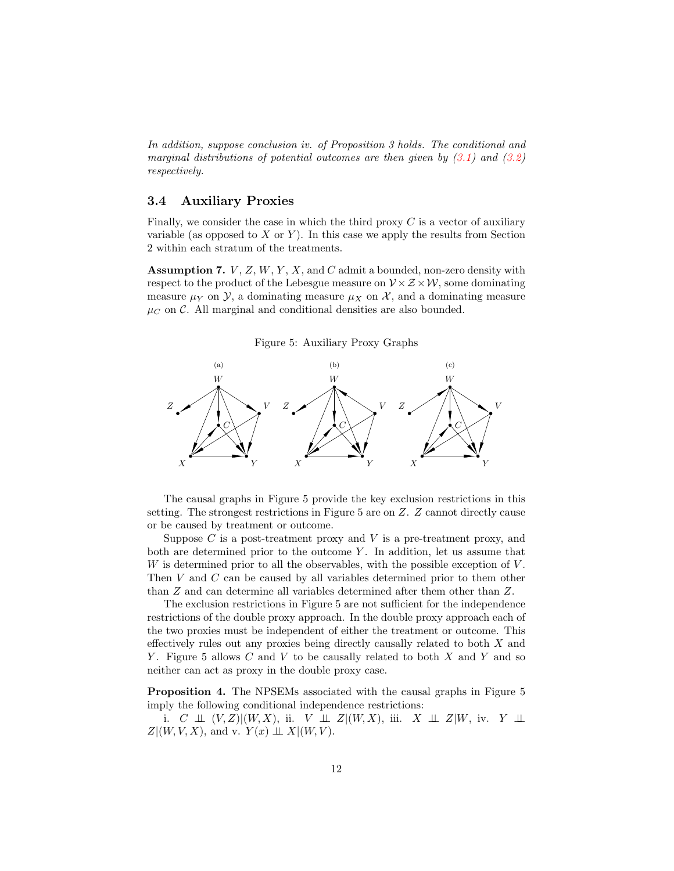In addition, suppose conclusion iv. of Proposition 3 holds. The conditional and marginal distributions of potential outcomes are then given by  $(3.1)$  and  $(3.2)$ respectively.

#### 3.4 Auxiliary Proxies

Finally, we consider the case in which the third proxy  $C$  is a vector of auxiliary variable (as opposed to  $X$  or  $Y$ ). In this case we apply the results from Section 2 within each stratum of the treatments.

**Assumption 7.**  $V, Z, W, Y, X$ , and C admit a bounded, non-zero density with respect to the product of the Lebesgue measure on  $V \times Z \times W$ , some dominating measure  $\mu_Y$  on  $\mathcal{Y}$ , a dominating measure  $\mu_X$  on  $\mathcal{X}$ , and a dominating measure  $\mu_C$  on C. All marginal and conditional densities are also bounded.

Figure 5: Auxiliary Proxy Graphs



The causal graphs in Figure 5 provide the key exclusion restrictions in this setting. The strongest restrictions in Figure 5 are on Z. Z cannot directly cause or be caused by treatment or outcome.

Suppose  $C$  is a post-treatment proxy and  $V$  is a pre-treatment proxy, and both are determined prior to the outcome  $Y$ . In addition, let us assume that  $W$  is determined prior to all the observables, with the possible exception of  $V$ . Then V and C can be caused by all variables determined prior to them other than Z and can determine all variables determined after them other than Z.

The exclusion restrictions in Figure 5 are not sufficient for the independence restrictions of the double proxy approach. In the double proxy approach each of the two proxies must be independent of either the treatment or outcome. This effectively rules out any proxies being directly causally related to both X and Y. Figure 5 allows  $C$  and  $V$  to be causally related to both  $X$  and  $Y$  and so neither can act as proxy in the double proxy case.

Proposition 4. The NPSEMs associated with the causal graphs in Figure 5 imply the following conditional independence restrictions:

i. C  $\perp\!\!\!\perp (V, Z)|(W, X)$ , ii. V  $\perp\!\!\!\perp Z|(W, X)$ , iii.  $X \perp\!\!\!\perp Z|W$ , iv. Y  $\perp\!\!\!\perp$  $Z|(W, V, X)$ , and v.  $Y(x) \perp \!\!\!\perp X | (W, V)$ .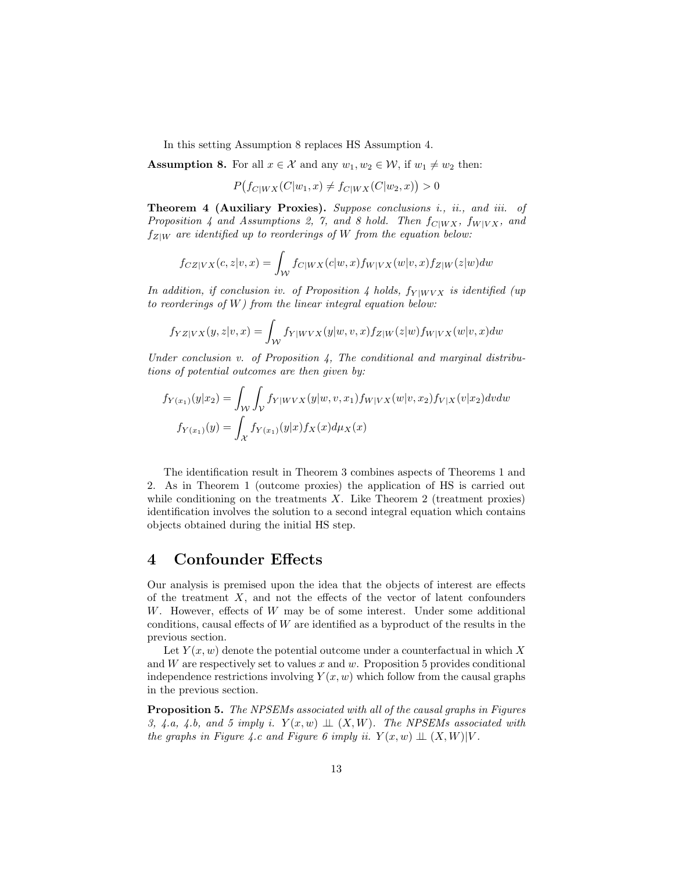In this setting Assumption 8 replaces HS Assumption 4.

**Assumption 8.** For all  $x \in \mathcal{X}$  and any  $w_1, w_2 \in \mathcal{W}$ , if  $w_1 \neq w_2$  then:

$$
P(f_{C|WX}(C|w_1, x) \neq f_{C|WX}(C|w_2, x)) > 0
$$

Theorem 4 (Auxiliary Proxies). Suppose conclusions i., ii., and iii. of Proposition 4 and Assumptions 2, 7, and 8 hold. Then  $f_{C|WX}$ ,  $f_{W|VX}$ , and  $f_{Z|W}$  are identified up to reorderings of W from the equation below:

$$
f_{CZ|VX}(c,z|v,x)=\int_{\mathcal{W}}f_{C|WX}(c|w,x)f_{W|VX}(w|v,x)f_{Z|W}(z|w)dw
$$

In addition, if conclusion iv. of Proposition 4 holds,  $f_{Y|WVX}$  is identified (up to reorderings of W) from the linear integral equation below:

$$
f_{YZ|VX}(y,z|v,x) = \int_{\mathcal{W}} f_{Y|WVX}(y|w,v,x) f_{Z|W}(z|w) f_{W|VX}(w|v,x) dw
$$

Under conclusion v. of Proposition  $\lambda$ , The conditional and marginal distributions of potential outcomes are then given by:

$$
f_{Y(x_1)}(y|x_2) = \int_{\mathcal{W}} \int_{\mathcal{V}} f_{Y|WVX}(y|w, v, x_1) f_{W|VX}(w|v, x_2) f_{V|X}(v|x_2) dv dw
$$

$$
f_{Y(x_1)}(y) = \int_{\mathcal{X}} f_{Y(x_1)}(y|x) f_X(x) d\mu_X(x)
$$

The identification result in Theorem 3 combines aspects of Theorems 1 and 2. As in Theorem 1 (outcome proxies) the application of HS is carried out while conditioning on the treatments  $X$ . Like Theorem 2 (treatment proxies) identification involves the solution to a second integral equation which contains objects obtained during the initial HS step.

### 4 Confounder Effects

Our analysis is premised upon the idea that the objects of interest are effects of the treatment  $X$ , and not the effects of the vector of latent confounders W. However, effects of W may be of some interest. Under some additional conditions, causal effects of W are identified as a byproduct of the results in the previous section.

Let  $Y(x, w)$  denote the potential outcome under a counterfactual in which X and  $W$  are respectively set to values  $x$  and  $w$ . Proposition 5 provides conditional independence restrictions involving  $Y(x, w)$  which follow from the causal graphs in the previous section.

Proposition 5. The NPSEMs associated with all of the causal graphs in Figures 3, 4.a, 4.b, and 5 imply i.  $Y(x, w) \perp (X, W)$ . The NPSEMs associated with the graphs in Figure 4.c and Figure 6 imply ii.  $Y(x, w) \perp (X, W)|V$ .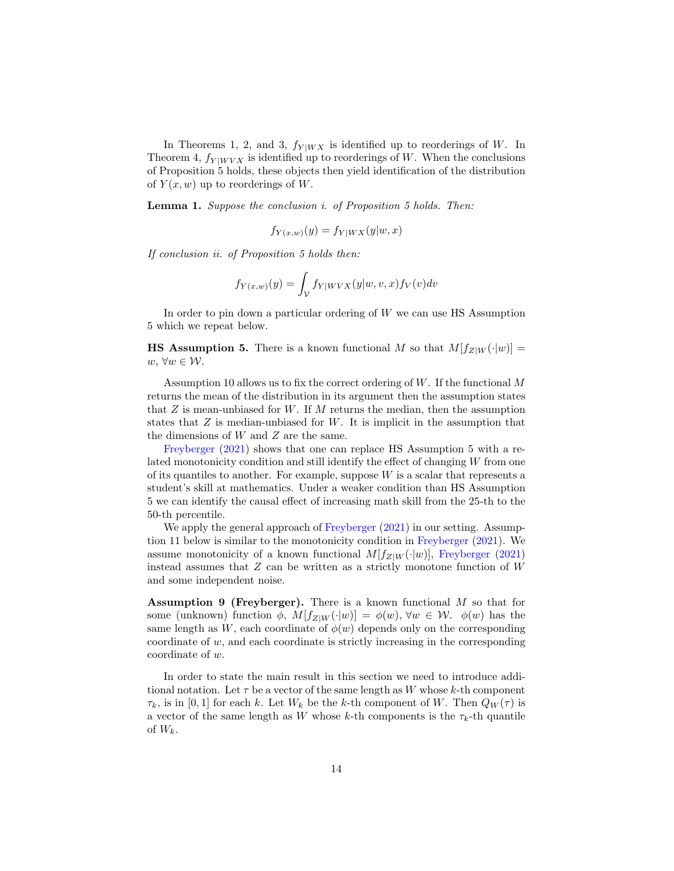In Theorems 1, 2, and 3,  $f_{Y|WX}$  is identified up to reorderings of W. In Theorem 4,  $f_{Y|WVX}$  is identified up to reorderings of W. When the conclusions of Proposition 5 holds, these objects then yield identification of the distribution of  $Y(x, w)$  up to reorderings of W.

Lemma 1. Suppose the conclusion i. of Proposition 5 holds. Then:

$$
f_{Y(x,w)}(y) = f_{Y|WX}(y|w, x)
$$

If conclusion ii. of Proposition 5 holds then:

$$
f_{Y(x,w)}(y) = \int_{\mathcal{V}} f_{Y|WVX}(y|w,v,x) f_{V}(v) dv
$$

In order to pin down a particular ordering of W we can use HS Assumption 5 which we repeat below.

**HS Assumption 5.** There is a known functional M so that  $M[f_{Z|W}(\cdot|w)] =$  $w, ∀w ∈ W.$ 

Assumption 10 allows us to fix the correct ordering of  $W$ . If the functional M returns the mean of the distribution in its argument then the assumption states that  $Z$  is mean-unbiased for  $W$ . If M returns the median, then the assumption states that  $Z$  is median-unbiased for  $W$ . It is implicit in the assumption that the dimensions of W and Z are the same.

[Freyberger](#page-18-1) [\(2021\)](#page-18-1) shows that one can replace HS Assumption 5 with a related monotonicity condition and still identify the effect of changing W from one of its quantiles to another. For example, suppose  $W$  is a scalar that represents a student's skill at mathematics. Under a weaker condition than HS Assumption 5 we can identify the causal effect of increasing math skill from the 25-th to the 50-th percentile.

We apply the general approach of [Freyberger](#page-18-1)  $(2021)$  in our setting. Assumption 11 below is similar to the monotonicity condition in [Freyberger](#page-18-1) [\(2021\)](#page-18-1). We assume monotonicity of a known functional  $M[f_{Z|W}(\cdot|w)]$ , [Freyberger](#page-18-1) [\(2021\)](#page-18-1) instead assumes that  $Z$  can be written as a strictly monotone function of  $W$ and some independent noise.

**Assumption 9 (Freyberger).** There is a known functional  $M$  so that for some (unknown) function  $\phi$ ,  $M[f_{Z|W}(\cdot|w)] = \phi(w)$ ,  $\forall w \in W$ .  $\phi(w)$  has the same length as W, each coordinate of  $\phi(w)$  depends only on the corresponding coordinate of w, and each coordinate is strictly increasing in the corresponding coordinate of w.

In order to state the main result in this section we need to introduce additional notation. Let  $\tau$  be a vector of the same length as W whose k-th component  $\tau_k$ , is in [0, 1] for each k. Let  $W_k$  be the k-th component of W. Then  $Q_W(\tau)$  is a vector of the same length as W whose k-th components is the  $\tau_k$ -th quantile of  $W_k$ .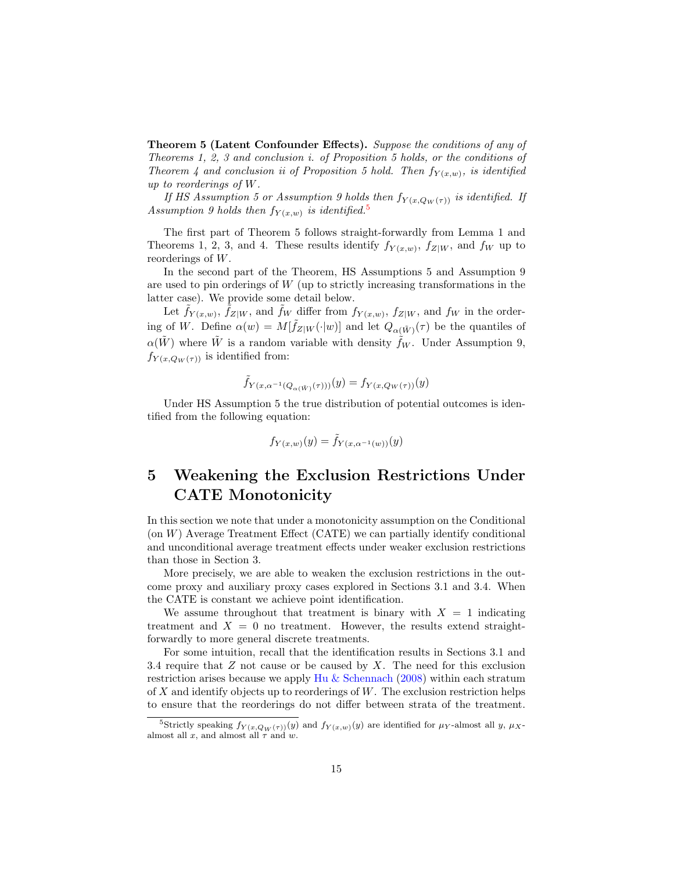Theorem 5 (Latent Confounder Effects). Suppose the conditions of any of Theorems 1, 2, 3 and conclusion i. of Proposition 5 holds, or the conditions of Theorem 4 and conclusion ii of Proposition 5 hold. Then  $f_{Y(x,w)}$ , is identified up to reorderings of W.

If HS Assumption 5 or Assumption 9 holds then  $f_{Y(x,Q_W(\tau))}$  is identified. If Assumption 9 holds then  $f_{Y(x,w)}$  is identified.<sup>[5](#page-14-0)</sup>

The first part of Theorem 5 follows straight-forwardly from Lemma 1 and Theorems 1, 2, 3, and 4. These results identify  $f_{Y(x,w)}$ ,  $f_{Z|W}$ , and  $f_W$  up to reorderings of W.

In the second part of the Theorem, HS Assumptions 5 and Assumption 9 are used to pin orderings of  $W$  (up to strictly increasing transformations in the latter case). We provide some detail below.

Let  $\tilde{f}_{Y(x,w)}$ ,  $\tilde{f}_{Z|W}$ , and  $\tilde{f}_{W}$  differ from  $f_{Y(x,w)}$ ,  $f_{Z|W}$ , and  $f_{W}$  in the ordering of W. Define  $\alpha(w) = M[\tilde{f}_{Z|W}(\cdot|w)]$  and let  $Q_{\alpha(\tilde{W})}(\tau)$  be the quantiles of  $\alpha(W)$  where W is a random variable with density  $f_W$ . Under Assumption 9,  $f_{Y(x,Q_W(\tau))}$  is identified from:

$$
\tilde{f}_{Y(x,\alpha^{-1}(Q_{\alpha(\tilde{W})}(\tau)))}(y) = f_{Y(x,Q_W(\tau))}(y)
$$

Under HS Assumption 5 the true distribution of potential outcomes is identified from the following equation:

$$
f_{Y(x,w)}(y) = \tilde{f}_{Y(x,\alpha^{-1}(w))}(y)
$$

# 5 Weakening the Exclusion Restrictions Under CATE Monotonicity

In this section we note that under a monotonicity assumption on the Conditional  $($ on  $W)$  Average Treatment Effect  $($ CATE $)$  we can partially identify conditional and unconditional average treatment effects under weaker exclusion restrictions than those in Section 3.

More precisely, we are able to weaken the exclusion restrictions in the outcome proxy and auxiliary proxy cases explored in Sections 3.1 and 3.4. When the CATE is constant we achieve point identification.

We assume throughout that treatment is binary with  $X = 1$  indicating treatment and  $X = 0$  no treatment. However, the results extend straightforwardly to more general discrete treatments.

For some intuition, recall that the identification results in Sections 3.1 and 3.4 require that  $Z$  not cause or be caused by  $X$ . The need for this exclusion restriction arises because we apply [Hu & Schennach](#page-19-0) [\(2008\)](#page-19-0) within each stratum of X and identify objects up to reorderings of  $W$ . The exclusion restriction helps to ensure that the reorderings do not differ between strata of the treatment.

<span id="page-14-0"></span><sup>&</sup>lt;sup>5</sup>Strictly speaking  $f_{Y(x,Q_W(\tau))}(y)$  and  $f_{Y(x,w)}(y)$  are identified for  $\mu_Y$ -almost all y,  $\mu_X$ almost all x, and almost all  $\tau$  and w.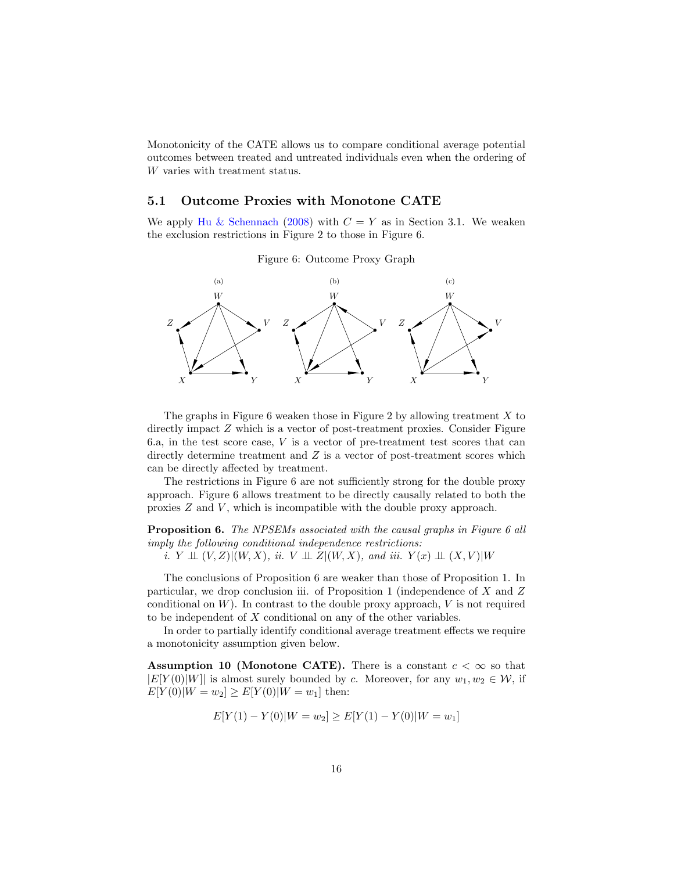Monotonicity of the CATE allows us to compare conditional average potential outcomes between treated and untreated individuals even when the ordering of W varies with treatment status.

#### 5.1 Outcome Proxies with Monotone CATE

We apply [Hu & Schennach](#page-19-0) [\(2008\)](#page-19-0) with  $C = Y$  as in Section 3.1. We weaken the exclusion restrictions in Figure 2 to those in Figure 6.



Figure 6: Outcome Proxy Graph

The graphs in Figure 6 weaken those in Figure 2 by allowing treatment  $X$  to directly impact Z which is a vector of post-treatment proxies. Consider Figure 6.a, in the test score case, V is a vector of pre-treatment test scores that can directly determine treatment and  $Z$  is a vector of post-treatment scores which can be directly affected by treatment.

The restrictions in Figure 6 are not sufficiently strong for the double proxy approach. Figure 6 allows treatment to be directly causally related to both the proxies  $Z$  and  $V$ , which is incompatible with the double proxy approach.

**Proposition 6.** The NPSEMs associated with the causal graphs in Figure 6 all imply the following conditional independence restrictions:

i.  $Y \perp\!\!\!\perp (V, Z)|(W, X),$  ii.  $V \perp\!\!\!\perp Z|(W, X),$  and iii.  $Y(x) \perp\!\!\!\perp (X, V)|W$ 

The conclusions of Proposition 6 are weaker than those of Proposition 1. In particular, we drop conclusion iii. of Proposition 1 (independence of  $X$  and  $Z$ conditional on  $W$ ). In contrast to the double proxy approach,  $V$  is not required to be independent of  $X$  conditional on any of the other variables.

In order to partially identify conditional average treatment effects we require a monotonicity assumption given below.

Assumption 10 (Monotone CATE). There is a constant  $c < \infty$  so that  $|E[Y(0)|W|]$  is almost surely bounded by c. Moreover, for any  $w_1, w_2 \in W$ , if  $E[Y(0)|W=w_2] \ge E[Y(0)|W=w_1]$  then:

$$
E[Y(1) - Y(0)|W = w_2] \ge E[Y(1) - Y(0)|W = w_1]
$$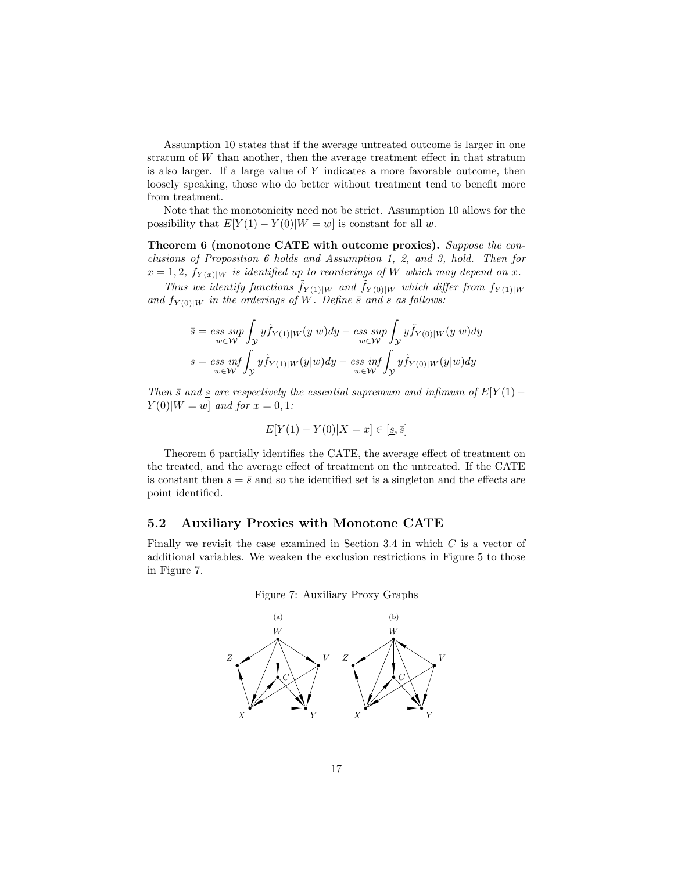Assumption 10 states that if the average untreated outcome is larger in one stratum of W than another, then the average treatment effect in that stratum is also larger. If a large value of Y indicates a more favorable outcome, then loosely speaking, those who do better without treatment tend to benefit more from treatment.

Note that the monotonicity need not be strict. Assumption 10 allows for the possibility that  $E[Y(1) - Y(0)|W = w]$  is constant for all w.

Theorem 6 (monotone CATE with outcome proxies). Suppose the conclusions of Proposition 6 holds and Assumption 1, 2, and 3, hold. Then for  $x = 1, 2, f_{Y(x)|W}$  is identified up to reorderings of W which may depend on x.

Thus we identify functions  $\tilde{f}_{Y(1)|W}$  and  $\tilde{f}_{Y(0)|W}$  which differ from  $f_{Y(1)|W}$ and  $f_{Y(0)|W}$  in the orderings of W. Define  $\bar{s}$  and  $\bar{s}$  as follows:

$$
\bar{s} = \operatorname*{ess\;sup}_{w \in \mathcal{W}} \int_{\mathcal{Y}} y \tilde{f}_{Y(1)|W}(y|w) dy - \operatorname*{ess\;sup}_{w \in \mathcal{W}} \int_{\mathcal{Y}} y \tilde{f}_{Y(0)|W}(y|w) dy
$$
\n
$$
\underline{s} = \operatorname*{ess\;inf}_{w \in \mathcal{W}} \int_{\mathcal{Y}} y \tilde{f}_{Y(1)|W}(y|w) dy - \operatorname*{ess\;inf}_{w \in \mathcal{W}} \int_{\mathcal{Y}} y \tilde{f}_{Y(0)|W}(y|w) dy
$$

Then  $\bar{s}$  and  $\underline{s}$  are respectively the essential supremum and infimum of  $E[Y(1) Y(0)|W = w|$  and for  $x = 0, 1$ :

$$
E[Y(1) - Y(0)|X = x] \in [\underline{s}, \overline{s}]
$$

Theorem 6 partially identifies the CATE, the average effect of treatment on the treated, and the average effect of treatment on the untreated. If the CATE is constant then  $s = \bar{s}$  and so the identified set is a singleton and the effects are point identified.

#### 5.2 Auxiliary Proxies with Monotone CATE

Finally we revisit the case examined in Section 3.4 in which C is a vector of additional variables. We weaken the exclusion restrictions in Figure 5 to those in Figure 7.



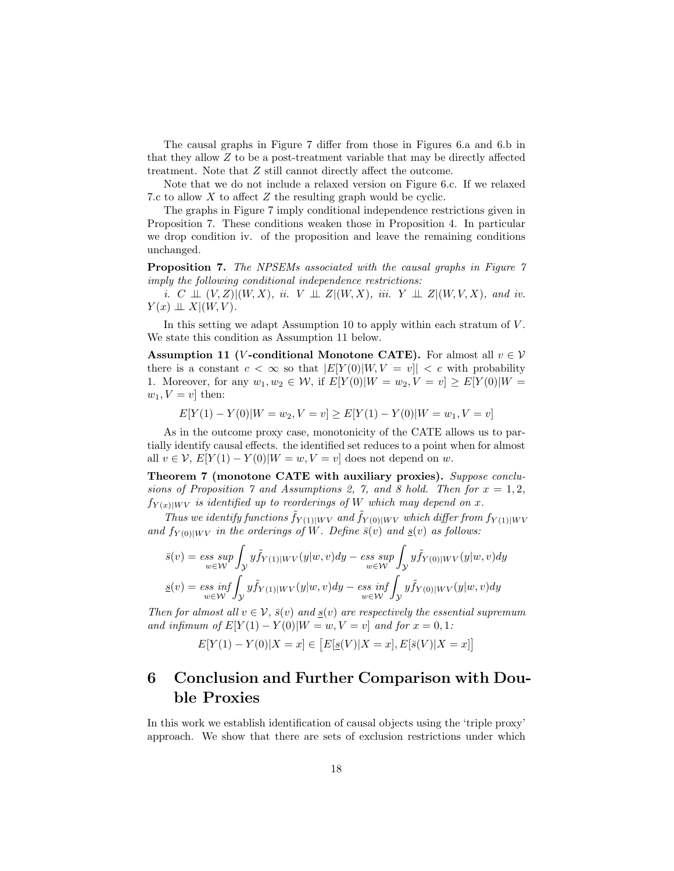The causal graphs in Figure 7 differ from those in Figures 6.a and 6.b in that they allow Z to be a post-treatment variable that may be directly affected treatment. Note that Z still cannot directly affect the outcome.

Note that we do not include a relaxed version on Figure 6.c. If we relaxed 7.c to allow X to affect Z the resulting graph would be cyclic.

The graphs in Figure 7 imply conditional independence restrictions given in Proposition 7. These conditions weaken those in Proposition 4. In particular we drop condition iv. of the proposition and leave the remaining conditions unchanged.

Proposition 7. The NPSEMs associated with the causal graphs in Figure 7 imply the following conditional independence restrictions:

i. C  $\perp \!\!\! \perp (V, Z)| (W, X),$  ii. V  $\perp \!\!\! \perp Z | (W, X),$  iii. Y  $\perp \!\!\! \perp Z | (W, V, X),$  and iv.  $Y(x) \perp\!\!\!\perp X | (W, V).$ 

In this setting we adapt Assumption 10 to apply within each stratum of  $V$ . We state this condition as Assumption 11 below.

Assumption 11 (*V*-conditional Monotone CATE). For almost all  $v \in V$ there is a constant  $c < \infty$  so that  $|E[Y(0)|W, V = v|| < c$  with probability 1. Moreover, for any  $w_1, w_2 \in W$ , if  $E[Y(0)|W = w_2, V = v] \ge E[Y(0)|W = v_1]$  $w_1, V = v$  then:

 $E[Y(1) - Y(0)|W = w_2, V = v] \ge E[Y(1) - Y(0)|W = w_1, V = v]$ 

As in the outcome proxy case, monotonicity of the CATE allows us to partially identify causal effects. the identified set reduces to a point when for almost all  $v \in V$ ,  $E[Y(1) - Y(0)|W = w, V = v]$  does not depend on w.

Theorem 7 (monotone CATE with auxiliary proxies). Suppose conclusions of Proposition 7 and Assumptions 2, 7, and 8 hold. Then for  $x = 1, 2$ ,  $f_{Y(x)|WV}$  is identified up to reorderings of W which may depend on x.

Thus we identify functions  $\tilde{f}_{Y(1)|WV}$  and  $\tilde{f}_{Y(0)|WV}$  which differ from  $f_{Y(1)|WV}$ and  $f_{Y(0)|WV}$  in the orderings of W. Define  $\bar{s}(v)$  and  $\underline{s}(v)$  as follows:

$$
\bar{s}(v) = \underset{w \in \mathcal{W}}{\operatorname{ess~sup}} \int_{\mathcal{Y}} y \tilde{f}_{Y(1)|WV}(y|w,v) dy - \underset{w \in \mathcal{W}}{\operatorname{ess~sup}} \int_{\mathcal{Y}} y \tilde{f}_{Y(0)|WV}(y|w,v) dy
$$
\n
$$
\underline{s}(v) = \underset{w \in \mathcal{W}}{\operatorname{ess~inf}} \int_{\mathcal{Y}} y \tilde{f}_{Y(1)|WV}(y|w,v) dy - \underset{w \in \mathcal{W}}{\operatorname{ess~inf}} \int_{\mathcal{Y}} y \tilde{f}_{Y(0)|WV}(y|w,v) dy
$$

Then for almost all  $v \in V$ ,  $\bar{s}(v)$  and  $s(v)$  are respectively the essential supremum and infimum of  $E[Y(1) - Y(0)|W = w, V = v]$  and for  $x = 0, 1$ :

$$
E[Y(1) - Y(0)|X = x] \in [E[g(V)|X = x], E[\bar{s}(V)|X = x]]
$$

# 6 Conclusion and Further Comparison with Double Proxies

In this work we establish identification of causal objects using the 'triple proxy' approach. We show that there are sets of exclusion restrictions under which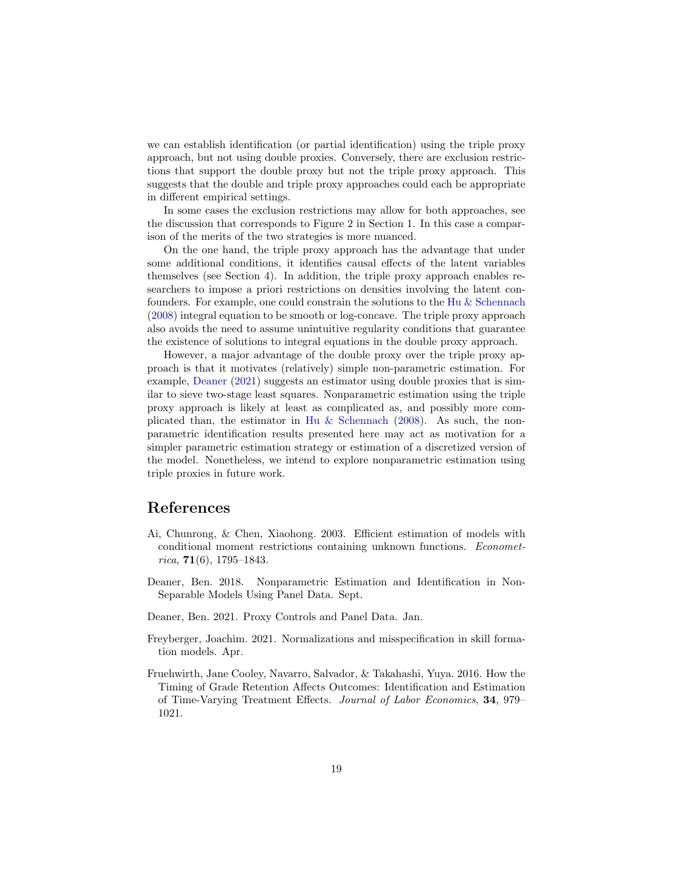we can establish identification (or partial identification) using the triple proxy approach, but not using double proxies. Conversely, there are exclusion restrictions that support the double proxy but not the triple proxy approach. This suggests that the double and triple proxy approaches could each be appropriate in different empirical settings.

In some cases the exclusion restrictions may allow for both approaches, see the discussion that corresponds to Figure 2 in Section 1. In this case a comparison of the merits of the two strategies is more nuanced.

On the one hand, the triple proxy approach has the advantage that under some additional conditions, it identifies causal effects of the latent variables themselves (see Section 4). In addition, the triple proxy approach enables researchers to impose a priori restrictions on densities involving the latent confounders. For example, one could constrain the solutions to the [Hu & Schennach](#page-19-0) [\(2008\)](#page-19-0) integral equation to be smooth or log-concave. The triple proxy approach also avoids the need to assume unintuitive regularity conditions that guarantee the existence of solutions to integral equations in the double proxy approach.

However, a major advantage of the double proxy over the triple proxy approach is that it motivates (relatively) simple non-parametric estimation. For example, [Deaner](#page-18-0) [\(2021\)](#page-18-0) suggests an estimator using double proxies that is similar to sieve two-stage least squares. Nonparametric estimation using the triple proxy approach is likely at least as complicated as, and possibly more com-plicated than, the estimator in [Hu & Schennach](#page-19-0) [\(2008\)](#page-19-0). As such, the nonparametric identification results presented here may act as motivation for a simpler parametric estimation strategy or estimation of a discretized version of the model. Nonetheless, we intend to explore nonparametric estimation using triple proxies in future work.

# References

- <span id="page-18-4"></span>Ai, Chunrong, & Chen, Xiaohong. 2003. Efficient estimation of models with conditional moment restrictions containing unknown functions. Econometrica,  $71(6)$ , 1795–1843.
- <span id="page-18-3"></span>Deaner, Ben. 2018. Nonparametric Estimation and Identification in Non-Separable Models Using Panel Data. Sept.
- <span id="page-18-0"></span>Deaner, Ben. 2021. Proxy Controls and Panel Data. Jan.
- <span id="page-18-1"></span>Freyberger, Joachim. 2021. Normalizations and misspecification in skill formation models. Apr.
- <span id="page-18-2"></span>Fruehwirth, Jane Cooley, Navarro, Salvador, & Takahashi, Yuya. 2016. How the Timing of Grade Retention Affects Outcomes: Identification and Estimation of Time-Varying Treatment Effects. Journal of Labor Economics, 34, 979– 1021.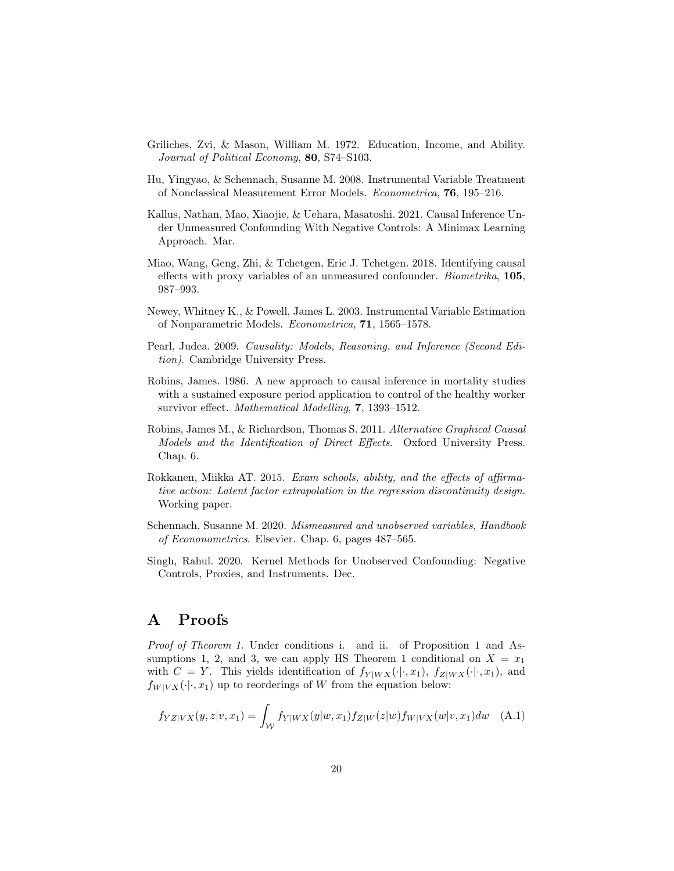- <span id="page-19-5"></span>Griliches, Zvi, & Mason, William M. 1972. Education, Income, and Ability. Journal of Political Economy, 80, S74-S103.
- <span id="page-19-0"></span>Hu, Yingyao, & Schennach, Susanne M. 2008. Instrumental Variable Treatment of Nonclassical Measurement Error Models. Econometrica, 76, 195–216.
- <span id="page-19-2"></span>Kallus, Nathan, Mao, Xiaojie, & Uehara, Masatoshi. 2021. Causal Inference Under Unmeasured Confounding With Negative Controls: A Minimax Learning Approach. Mar.
- <span id="page-19-1"></span>Miao, Wang, Geng, Zhi, & Tchetgen, Eric J. Tchetgen. 2018. Identifying causal effects with proxy variables of an unmeasured confounder. Biometrika, 105, 987–993.
- <span id="page-19-10"></span>Newey, Whitney K., & Powell, James L. 2003. Instrumental Variable Estimation of Nonparametric Models. Econometrica, 71, 1565–1578.
- <span id="page-19-6"></span>Pearl, Judea. 2009. Causality: Models, Reasoning, and Inference (Second Edition). Cambridge University Press.
- <span id="page-19-8"></span>Robins, James. 1986. A new approach to causal inference in mortality studies with a sustained exposure period application to control of the healthy worker survivor effect. Mathematical Modelling, 7, 1393–1512.
- <span id="page-19-7"></span>Robins, James M., & Richardson, Thomas S. 2011. Alternative Graphical Causal Models and the Identification of Direct Effects. Oxford University Press. Chap. 6.
- <span id="page-19-4"></span>Rokkanen, Miikka AT. 2015. Exam schools, ability, and the effects of affirmative action: Latent factor extrapolation in the regression discontinuity design. Working paper.
- <span id="page-19-9"></span>Schennach, Susanne M. 2020. Mismeasured and unobserved variables, Handbook of Econonometrics. Elsevier. Chap. 6, pages 487–565.
- <span id="page-19-3"></span>Singh, Rahul. 2020. Kernel Methods for Unobserved Confounding: Negative Controls, Proxies, and Instruments. Dec.

### A Proofs

Proof of Theorem 1. Under conditions i. and ii. of Proposition 1 and Assumptions 1, 2, and 3, we can apply HS Theorem 1 conditional on  $X = x_1$ with  $C = Y$ . This yields identification of  $f_{Y|WX}(\cdot|\cdot, x_1)$ ,  $f_{Z|WX}(\cdot|\cdot, x_1)$ , and  $f_{W|V X}(\cdot|\cdot, x_1)$  up to reorderings of W from the equation below:

<span id="page-19-11"></span>
$$
f_{YZ|VX}(y,z|v,x_1) = \int_{\mathcal{W}} f_{Y|WX}(y|w,x_1) f_{Z|W}(z|w) f_{W|VX}(w|v,x_1) dw \quad (A.1)
$$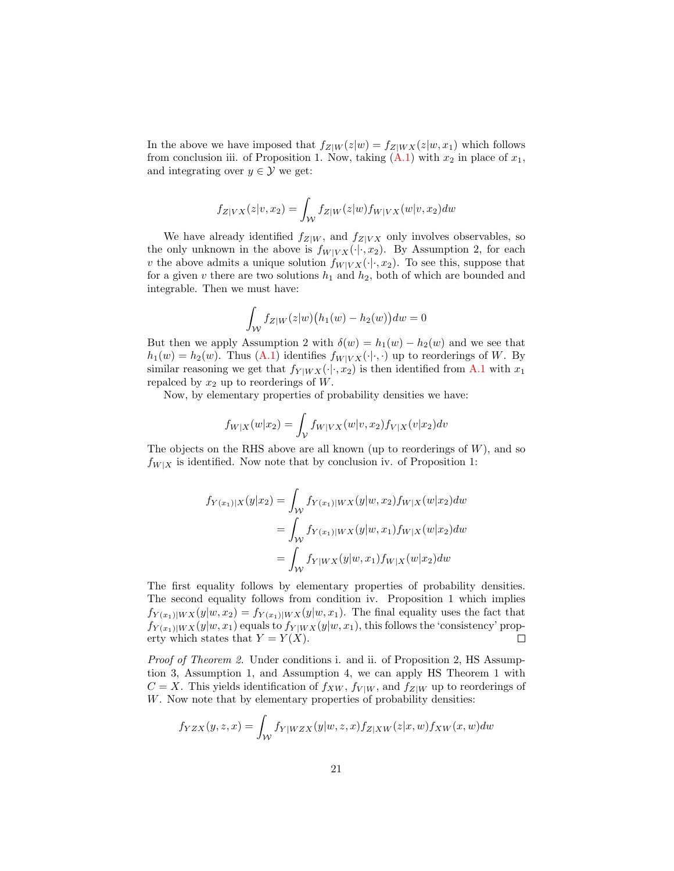In the above we have imposed that  $f_{Z|W}(z|w) = f_{Z|WX}(z|w, x_1)$  which follows from conclusion iii. of Proposition 1. Now, taking  $(A.1)$  with  $x_2$  in place of  $x_1$ , and integrating over  $y \in \mathcal{Y}$  we get:

$$
f_{Z|VX}(z|v,x_2) = \int_{\mathcal{W}} f_{Z|W}(z|w) f_{W|VX}(w|v,x_2) dw
$$

We have already identified  $f_{Z|W}$ , and  $f_{Z|V}$  only involves observables, so the only unknown in the above is  $f_{W|V X}(\cdot|\cdot, x_2)$ . By Assumption 2, for each v the above admits a unique solution  $f_{W|VX}(\cdot|\cdot, x_2)$ . To see this, suppose that for a given v there are two solutions  $h_1$  and  $h_2$ , both of which are bounded and integrable. Then we must have:

$$
\int_{\mathcal{W}} f_{Z|W}(z|w) \big( h_1(w) - h_2(w) \big) dw = 0
$$

But then we apply Assumption 2 with  $\delta(w) = h_1(w) - h_2(w)$  and we see that  $h_1(w) = h_2(w)$ . Thus  $(A.1)$  identifies  $f_{W|V X}(\cdot|\cdot,\cdot)$  up to reorderings of W. By similar reasoning we get that  $f_{Y|WX}(\cdot|\cdot, x_2)$  is then identified from [A.1](#page-19-11) with  $x_1$ repalced by  $x_2$  up to reorderings of W.

Now, by elementary properties of probability densities we have:

$$
f_{W|X}(w|x_2) = \int_{\mathcal{V}} f_{W|VX}(w|v, x_2) f_{V|X}(v|x_2) dv
$$

The objects on the RHS above are all known (up to reorderings of  $W$ ), and so  $f_{W|X}$  is identified. Now note that by conclusion iv. of Proposition 1:

$$
f_{Y(x_1)|X}(y|x_2) = \int_{\mathcal{W}} f_{Y(x_1)|WX}(y|w, x_2) f_{W|X}(w|x_2) dw
$$
  
= 
$$
\int_{\mathcal{W}} f_{Y(x_1)|WX}(y|w, x_1) f_{W|X}(w|x_2) dw
$$
  
= 
$$
\int_{\mathcal{W}} f_{Y|WX}(y|w, x_1) f_{W|X}(w|x_2) dw
$$

The first equality follows by elementary properties of probability densities. The second equality follows from condition iv. Proposition 1 which implies  $f_{Y(x_1)|WX}(y|w, x_2) = f_{Y(x_1)|WX}(y|w, x_1)$ . The final equality uses the fact that  $f_{Y(x_1)|WX}(y|w, x_1)$  equals to  $f_{Y|WX}(y|w, x_1)$ , this follows the 'consistency' property which states that  $Y = Y(X)$ .  $\Box$ 

Proof of Theorem 2. Under conditions i. and ii. of Proposition 2, HS Assumption 3, Assumption 1, and Assumption 4, we can apply HS Theorem 1 with  $C = X$ . This yields identification of  $f_{XW}$ ,  $f_{V|W}$ , and  $f_{Z|W}$  up to reorderings of W. Now note that by elementary properties of probability densities:

$$
f_{YZX}(y,z,x) = \int_{\mathcal{W}} f_{Y|WZX}(y|w,z,x) f_{Z|XW}(z|x,w) f_{XW}(x,w) dw
$$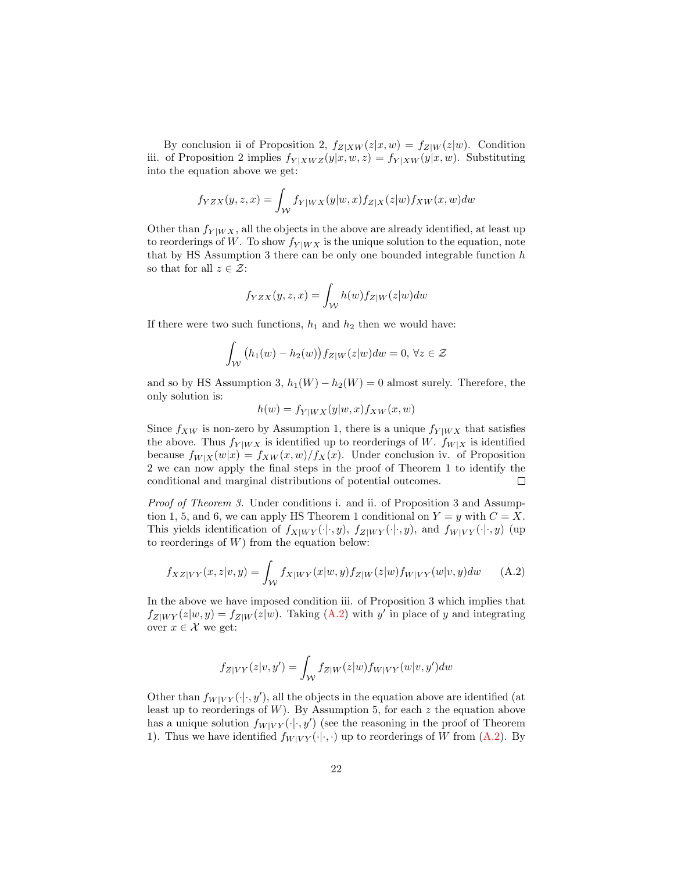By conclusion ii of Proposition 2,  $f_{Z|XW}(z|x,w) = f_{Z|W}(z|w)$ . Condition iii. of Proposition 2 implies  $f_{Y|XWZ}(y|x, w, z) = f_{Y|XW}(y|x, w)$ . Substituting into the equation above we get:

$$
f_{YZX}(y,z,x) = \int_{\mathcal{W}} f_{Y|WX}(y|w,x) f_{Z|X}(z|w) f_{XW}(x,w) dw
$$

Other than  $f_{Y|WX}$ , all the objects in the above are already identified, at least up to reorderings of W. To show  $f_{Y|WX}$  is the unique solution to the equation, note that by HS Assumption 3 there can be only one bounded integrable function  $h$ so that for all  $z \in \mathcal{Z}$ :

$$
f_{YZX}(y, z, x) = \int_{\mathcal{W}} h(w) f_{Z|W}(z|w) dw
$$

If there were two such functions,  $h_1$  and  $h_2$  then we would have:

$$
\int_{\mathcal{W}} (h_1(w) - h_2(w)) f_{Z|W}(z|w) dw = 0, \forall z \in \mathcal{Z}
$$

and so by HS Assumption 3,  $h_1(W) - h_2(W) = 0$  almost surely. Therefore, the only solution is:

<span id="page-21-0"></span>
$$
h(w) = f_{Y|WX}(y|w, x) f_{XW}(x, w)
$$

Since  $f_{XW}$  is non-zero by Assumption 1, there is a unique  $f_{Y|WX}$  that satisfies the above. Thus  $f_{Y|WX}$  is identified up to reorderings of W.  $f_{W|X}$  is identified because  $f_{W|X}(w|x) = f_{XW}(x, w)/f_{X}(x)$ . Under conclusion iv. of Proposition 2 we can now apply the final steps in the proof of Theorem 1 to identify the conditional and marginal distributions of potential outcomes.  $\Box$ 

Proof of Theorem 3. Under conditions i. and ii. of Proposition 3 and Assumption 1, 5, and 6, we can apply HS Theorem 1 conditional on  $Y = y$  with  $C = X$ . This yields identification of  $f_{X|W Y}(\cdot|\cdot, y)$ ,  $f_{Z|W Y}(\cdot|\cdot, y)$ , and  $f_{W|V Y}(\cdot|\cdot, y)$  (up to reorderings of  $W$ ) from the equation below:

$$
f_{XZ|VY}(x,z|v,y) = \int_{\mathcal{W}} f_{X|WY}(x|w,y) f_{Z|W}(z|w) f_{W|VY}(w|v,y) dw \qquad (A.2)
$$

In the above we have imposed condition iii. of Proposition 3 which implies that  $f_{Z|W Y}(z|w, y) = f_{Z|W}(z|w)$ . Taking [\(A.2\)](#page-21-0) with y' in place of y and integrating over  $x \in \mathcal{X}$  we get:

$$
f_{Z|VY}(z|v,y') = \int_{\mathcal{W}} f_{Z|W}(z|w) f_{W|VY}(w|v,y')dw
$$

Other than  $f_{W|VY}(\cdot|\cdot, y')$ , all the objects in the equation above are identified (at least up to reorderings of W). By Assumption 5, for each  $z$  the equation above has a unique solution  $f_{W|VY}(\cdot|\cdot, y')$  (see the reasoning in the proof of Theorem 1). Thus we have identified  $f_{W|VY}(\cdot|\cdot,\cdot)$  up to reorderings of W from  $(A.2)$ . By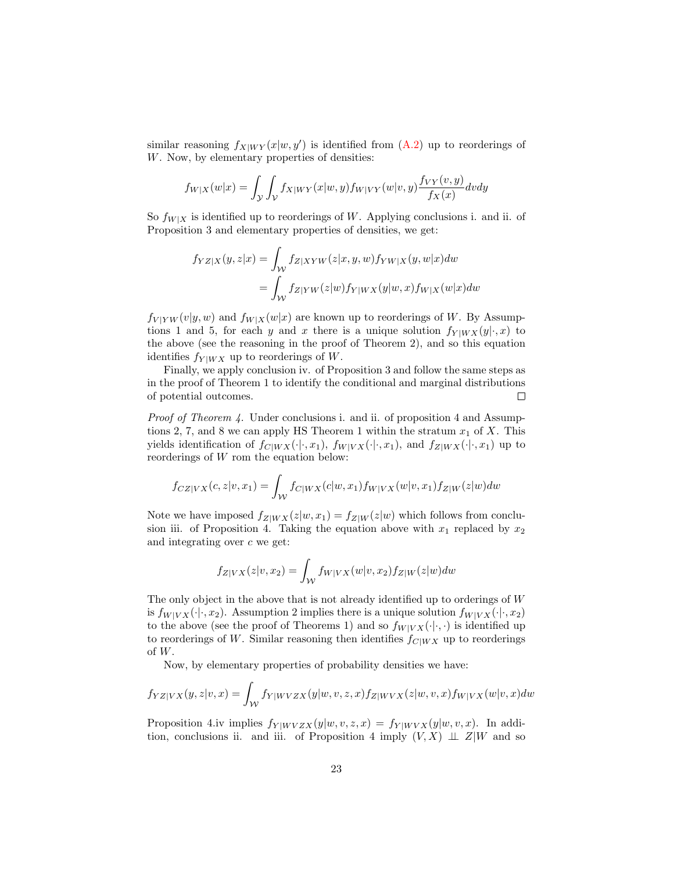similar reasoning  $f_{X|W Y}(x|w, y')$  is identified from  $(A.2)$  up to reorderings of W. Now, by elementary properties of densities:

$$
f_{W|X}(w|x) = \int_{\mathcal{Y}} \int_{\mathcal{V}} f_{X|WY}(x|w, y) f_{W|VY}(w|v, y) \frac{f_{VY}(v, y)}{f_X(x)} dv dy
$$

So  $f_{W|X}$  is identified up to reorderings of W. Applying conclusions i. and ii. of Proposition 3 and elementary properties of densities, we get:

$$
f_{YZ|X}(y,z|x) = \int_{\mathcal{W}} f_{Z|XYW}(z|x,y,w) f_{YW|X}(y,w|x) dw
$$
  
= 
$$
\int_{\mathcal{W}} f_{Z|YW}(z|w) f_{Y|WX}(y|w,x) f_{W|X}(w|x) dw
$$

 $f_{V|YW}(v|y, w)$  and  $f_{W|X}(w|x)$  are known up to reorderings of W. By Assumptions 1 and 5, for each y and x there is a unique solution  $f_{Y|WX}(y|\cdot, x)$  to the above (see the reasoning in the proof of Theorem 2), and so this equation identifies  $f_{Y|WX}$  up to reorderings of W.

Finally, we apply conclusion iv. of Proposition 3 and follow the same steps as in the proof of Theorem 1 to identify the conditional and marginal distributions of potential outcomes.  $\Box$ 

Proof of Theorem 4. Under conclusions i. and ii. of proposition 4 and Assumptions 2, 7, and 8 we can apply HS Theorem 1 within the stratum  $x_1$  of X. This yields identification of  $f_{C|WX}(\cdot|\cdot, x_1)$ ,  $f_{W|VX}(\cdot|\cdot, x_1)$ , and  $f_{Z|WX}(\cdot|\cdot, x_1)$  up to reorderings of W rom the equation below:

$$
f_{CZ|VX}(c,z|v,x_1) = \int_{\mathcal{W}} f_{C|WX}(c|w,x_1) f_{W|VX}(w|v,x_1) f_{Z|W}(z|w) dw
$$

Note we have imposed  $f_{Z|WX}(z|w, x_1) = f_{Z|W}(z|w)$  which follows from conclusion iii. of Proposition 4. Taking the equation above with  $x_1$  replaced by  $x_2$ and integrating over  $c$  we get:

$$
f_{Z|VX}(z|v,x_2) = \int_W f_{W|VX}(w|v,x_2) f_{Z|W}(z|w) dw
$$

The only object in the above that is not already identified up to orderings of W is  $f_{W|V X}(\cdot|\cdot, x_2)$ . Assumption 2 implies there is a unique solution  $f_{W|V X}(\cdot|\cdot, x_2)$ to the above (see the proof of Theorems 1) and so  $f_{W|V X}(\cdot|\cdot,\cdot)$  is identified up to reorderings of W. Similar reasoning then identifies  $f_{C|WX}$  up to reorderings of W.

Now, by elementary properties of probability densities we have:

$$
f_{YZ|VX}(y,z|v,x) = \int_{\mathcal{W}} f_{Y|WVZX}(y|w,v,z,x) f_{Z|WVX}(z|w,v,x) f_{W|VX}(w|v,x) dw
$$

Proposition 4.iv implies  $f_{Y|WVZX}(y|w, v, z, x) = f_{Y|WVX}(y|w, v, x)$ . In addition, conclusions ii. and iii. of Proposition 4 imply  $(V, X) \perp\!\!\!\perp Z|W$  and so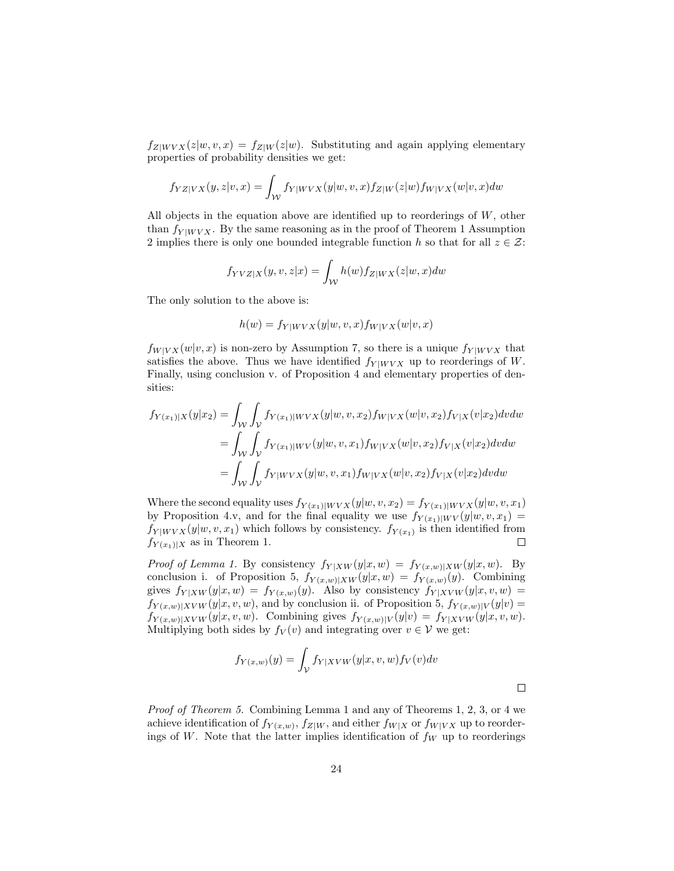$f_{Z|W V X}(z|w, v, x) = f_{Z|W}(z|w)$ . Substituting and again applying elementary properties of probability densities we get:

$$
f_{YZ|VX}(y,z|v,x) = \int_{\mathcal{W}} f_{Y|WVX}(y|w,v,x) f_{Z|W}(z|w) f_{W|VX}(w|v,x) dw
$$

All objects in the equation above are identified up to reorderings of  $W$ , other than  $f_{Y|WVX}$ . By the same reasoning as in the proof of Theorem 1 Assumption 2 implies there is only one bounded integrable function h so that for all  $z \in \mathcal{Z}$ :

$$
f_{YVZ|X}(y,v,z|x) = \int_{\mathcal{W}} h(w) f_{Z|WX}(z|w,x) dw
$$

The only solution to the above is:

$$
h(w) = f_{Y|WVX}(y|w, v, x) f_{W|VX}(w|v, x)
$$

 $f_{W|V X}(w|v, x)$  is non-zero by Assumption 7, so there is a unique  $f_{Y|W V X}$  that satisfies the above. Thus we have identified  $f_{Y|WVX}$  up to reorderings of W. Finally, using conclusion v. of Proposition 4 and elementary properties of densities:

$$
f_{Y(x_1)|X}(y|x_2) = \int_{\mathcal{W}} \int_{\mathcal{V}} f_{Y(x_1)|Wvx}(y|w, v, x_2) f_{W|VX}(w|v, x_2) f_{V|X}(v|x_2) dv dw
$$
  
= 
$$
\int_{\mathcal{W}} \int_{\mathcal{V}} f_{Y(x_1)|WV}(y|w, v, x_1) f_{W|VX}(w|v, x_2) f_{V|X}(v|x_2) dv dw
$$
  
= 
$$
\int_{\mathcal{W}} \int_{\mathcal{V}} f_{Y|WVX}(y|w, v, x_1) f_{W|VX}(w|v, x_2) f_{V|X}(v|x_2) dv dw
$$

Where the second equality uses  $f_{Y(x_1)|WVX}(y|w, v, x_2) = f_{Y(x_1)|WVX}(y|w, v, x_1)$ by Proposition 4.v, and for the final equality we use  $f_{Y(x_1)|WV}(y|w, v, x_1) =$  $f_{Y|WVX}(y|w, v, x_1)$  which follows by consistency.  $f_{Y(x_1)}$  is then identified from  $f_{Y(x_1)|X}$  as in Theorem 1.  $\Box$ 

*Proof of Lemma 1.* By consistency  $f_{Y|XW}(y|x,w) = f_{Y(x,w)|XW}(y|x,w)$ . By conclusion i. of Proposition 5,  $f_{Y(x,w)|XW}(y|x,w) = f_{Y(x,w)}(y)$ . Combining gives  $f_{Y|XW}(y|x, w) = f_{Y(x, w)}(y)$ . Also by consistency  $f_{Y|XVW}(y|x, v, w) =$  $f_{Y(x,w)|XVW}(y|x,v,w)$ , and by conclusion ii. of Proposition 5,  $f_{Y(x,w)|V}(y|v) =$  $f_{Y(x,w)|XVW}(y|x,v,w)$ . Combining gives  $f_{Y(x,w)|V}(y|v) = f_{Y|XVW}(y|x,v,w)$ . Multiplying both sides by  $f_V(v)$  and integrating over  $v \in V$  we get:

$$
f_{Y(x,w)}(y) = \int_{\mathcal{V}} f_{Y|XVW}(y|x,v,w) f_{V}(v) dv
$$

 $\Box$ 

Proof of Theorem 5. Combining Lemma 1 and any of Theorems 1, 2, 3, or 4 we achieve identification of  $f_{Y(x,w)}$ ,  $f_{Z|W}$ , and either  $f_{W|X}$  or  $f_{W|VX}$  up to reorderings of W. Note that the latter implies identification of  $f_W$  up to reorderings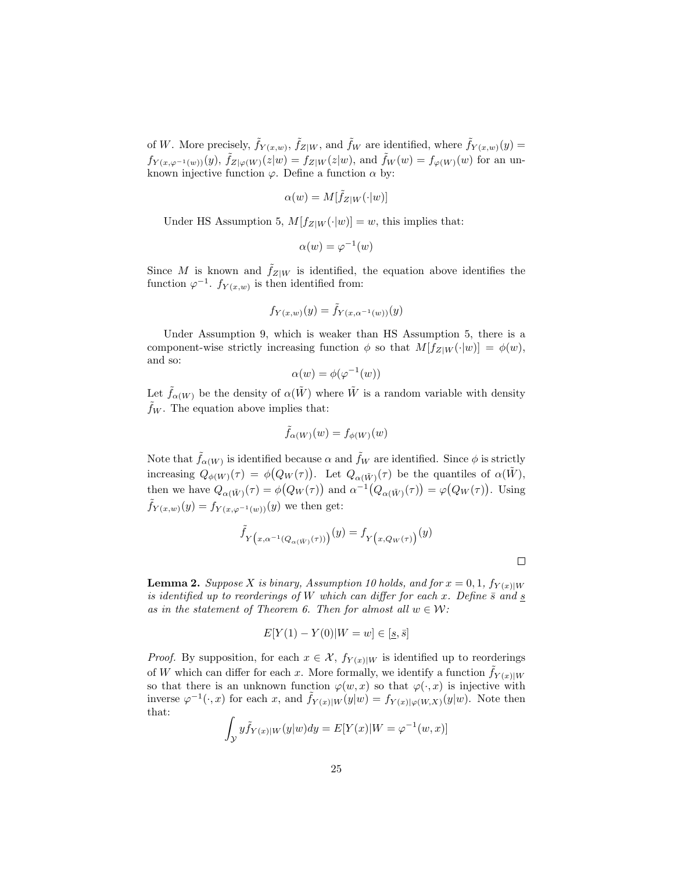of W. More precisely,  $\tilde{f}_{Y(x,w)}$ ,  $\tilde{f}_{Z|W}$ , and  $\tilde{f}_{W}$  are identified, where  $\tilde{f}_{Y(x,w)}(y)$  $f_{Y(x,\varphi^{-1}(w))}(y)$ ,  $\tilde{f}_{Z|\varphi(W)}(z|w) = f_{Z|W}(z|w)$ , and  $\tilde{f}_W(w) = f_{\varphi(W)}(w)$  for an unknown injective function  $\varphi$ . Define a function  $\alpha$  by:

$$
\alpha(w) = M[\tilde{f}_Z|W(\cdot|w)]
$$

Under HS Assumption 5,  $M[f_{Z|W}(\cdot|w)] = w$ , this implies that:

$$
\alpha(w) = \varphi^{-1}(w)
$$

Since M is known and  $\hat{f}_{Z|W}$  is identified, the equation above identifies the function  $\varphi^{-1}$ .  $f_{Y(x,w)}$  is then identified from:

$$
f_{Y(x,w)}(y) = \tilde{f}_{Y(x,\alpha^{-1}(w))}(y)
$$

Under Assumption 9, which is weaker than HS Assumption 5, there is a component-wise strictly increasing function  $\phi$  so that  $M[f_{Z|W}(\cdot|w)] = \phi(w)$ , and so:

$$
\alpha(w) = \phi(\varphi^{-1}(w))
$$

Let  $\tilde{f}_{\alpha(W)}$  be the density of  $\alpha(\tilde{W})$  where  $\tilde{W}$  is a random variable with density  $f_W$ . The equation above implies that:

$$
\tilde{f}_{\alpha(W)}(w) = f_{\phi(W)}(w)
$$

Note that  $\tilde{f}_{\alpha(W)}$  is identified because  $\alpha$  and  $\tilde{f}_W$  are identified. Since  $\phi$  is strictly increasing  $Q_{\phi(W)}(\tau) = \phi(Q_W(\tau))$ . Let  $Q_{\alpha(\tilde{W})}(\tau)$  be the quantiles of  $\alpha(\tilde{W})$ , then we have  $Q_{\alpha(\tilde{W})}(\tau) = \phi(Q_W(\tau))$  and  $\alpha^{-1}(Q_{\alpha(\tilde{W})}(\tau)) = \phi(Q_W(\tau))$ . Using  $f_{Y(x,w)}(y) = f_{Y(x,\varphi^{-1}(w))}(y)$  we then get:

$$
\tilde{f}_Y_{\left(x,\alpha^{-1}(Q_{\alpha(\tilde{W})}(\tau))\right)}(y) = f_{Y_{\left(x,Q_{W}(\tau)\right)}(y)
$$

 $\Box$ 

**Lemma 2.** Suppose X is binary, Assumption 10 holds, and for  $x = 0, 1, f_{Y(x)|W}$ is identified up to reorderings of W which can differ for each x. Define  $\bar{s}$  and  $\underline{s}$ as in the statement of Theorem 6. Then for almost all  $w \in \mathcal{W}$ :

$$
E[Y(1) - Y(0)|W = w] \in [\underline{s}, \overline{s}]
$$

*Proof.* By supposition, for each  $x \in \mathcal{X}$ ,  $f_{Y(x)|W}$  is identified up to reorderings of W which can differ for each x. More formally, we identify a function  $\tilde{f}_{Y(x)|W}$ so that there is an unknown function  $\varphi(w, x)$  so that  $\varphi(\cdot, x)$  is injective with inverse  $\varphi^{-1}(\cdot,x)$  for each x, and  $\tilde{f}_{Y(x)|W}(y|w) = f_{Y(x)|\varphi(W,X)}(y|w)$ . Note then that:

$$
\int_{\mathcal{Y}} y \tilde{f}_{Y(x)|W}(y|w) dy = E[Y(x)|W = \varphi^{-1}(w,x)]
$$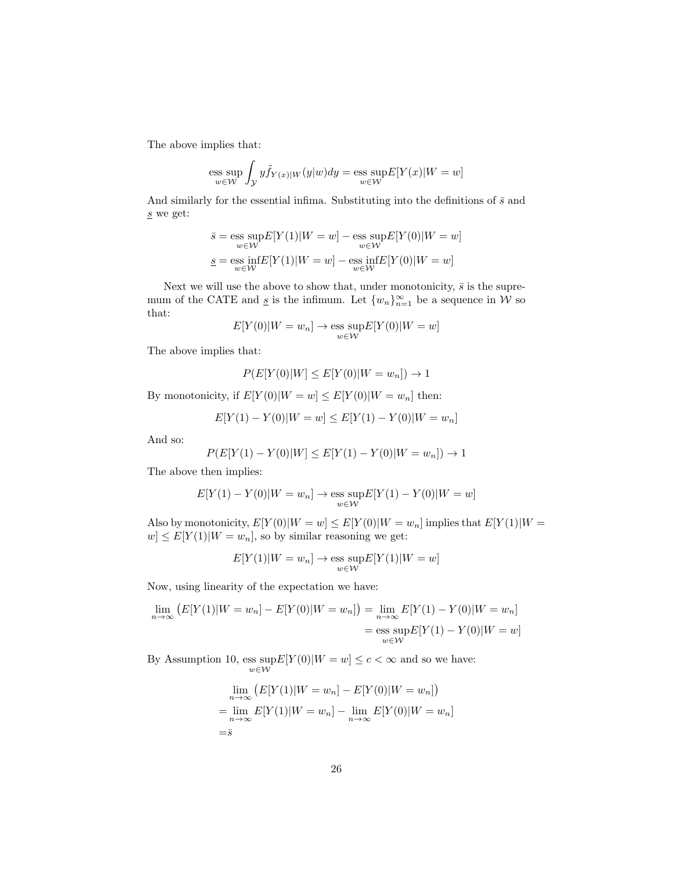The above implies that:

$$
\operatorname{ess} \sup_{w \in \mathcal{W}} \int_{\mathcal{Y}} y \tilde{f}_{Y(x)|W}(y|w) dy = \operatorname{ess} \sup_{w \in \mathcal{W}} E[Y(x)|W = w]
$$

And similarly for the essential infima. Substituting into the definitions of  $\bar{s}$  and s we get:

$$
\bar{s} = \operatorname*{ess\;sup}_{w \in \mathcal{W}} E[Y(1)|W=w] - \operatorname*{ess\;sup}_{w \in \mathcal{W}} E[Y(0)|W=w]
$$

$$
\underline{s} = \operatorname*{ess\;inf}_{w \in \mathcal{W}} E[Y(1)|W=w] - \operatorname*{ess\;inf}_{w \in \mathcal{W}} E[Y(0)|W=w]
$$

Next we will use the above to show that, under monotonicity,  $\bar{s}$  is the supremum of the CATE and  $\underline{s}$  is the infimum. Let  $\{w_n\}_{n=1}^{\infty}$  be a sequence in W so that:

$$
E[Y(0)|W=w_n] \to \underset{w \in \mathcal{W}}{\text{ess sup}} E[Y(0)|W=w]
$$

The above implies that:

$$
P(E[Y(0)|W] \le E[Y(0)|W = w_n]) \to 1
$$

By monotonicity, if  $E[Y(0)|W=w] \leq E[Y(0)|W=w_n]$  then:

$$
E[Y(1) - Y(0)|W = w] \le E[Y(1) - Y(0)|W = w_n]
$$

And so:

$$
P(E[Y(1) - Y(0)|W] \le E[Y(1) - Y(0)|W = w_n]) \to 1
$$

The above then implies:

$$
E[Y(1) - Y(0)|W = w_n] \to \underset{w \in \mathcal{W}}{\text{ess sup}} E[Y(1) - Y(0)|W = w]
$$

Also by monotonicity,  $E[Y(0)|W=w] \leq E[Y(0)|W=w_n]$  implies that  $E[Y(1)|W=w_n]$  $w \leq E[Y(1)|W=w_n]$ , so by similar reasoning we get:

$$
E[Y(1)|W = w_n] \to \operatorname{ess} \operatorname{sup} E[Y(1)|W = w]
$$

Now, using linearity of the expectation we have:

$$
\lim_{n \to \infty} (E[Y(1)|W = w_n] - E[Y(0)|W = w_n]) = \lim_{n \to \infty} E[Y(1) - Y(0)|W = w_n]
$$

$$
= \operatorname{ess} \sup_{w \in W} E[Y(1) - Y(0)|W = w]
$$

By Assumption 10,  $\operatorname{ess} \operatorname{sup} E[Y(0)|W=w] \le c < \infty$  and so we have:

$$
\lim_{n \to \infty} (E[Y(1)|W = w_n] - E[Y(0)|W = w_n])
$$
  
= 
$$
\lim_{n \to \infty} E[Y(1)|W = w_n] - \lim_{n \to \infty} E[Y(0)|W = w_n]
$$
  
= 
$$
\overline{s}
$$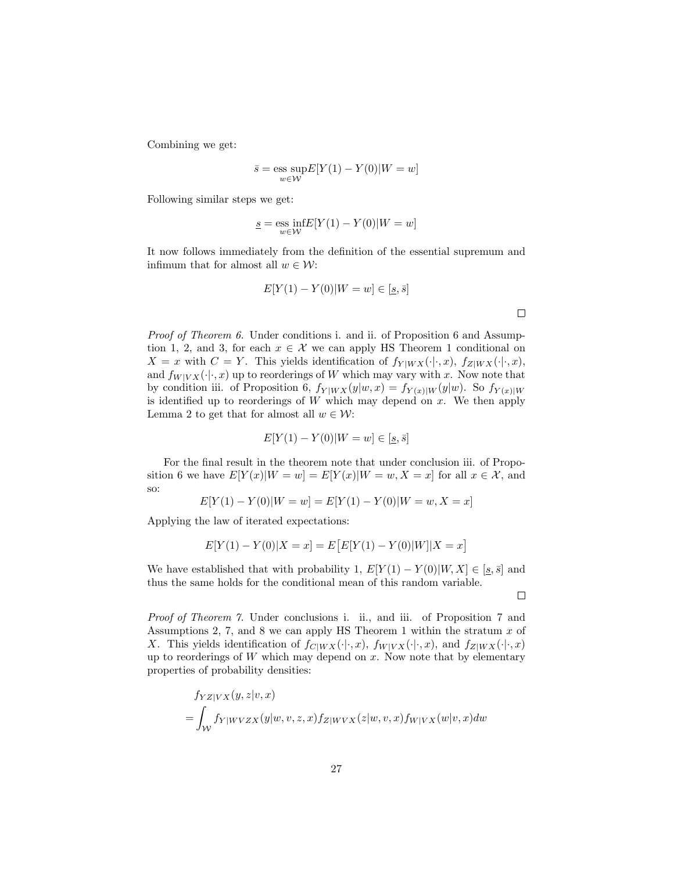Combining we get:

$$
\bar{s} = \underset{w \in \mathcal{W}}{\text{ess sup}} E[Y(1) - Y(0)|W = w]
$$

Following similar steps we get:

$$
\underline{s} = \underset{w \in \mathcal{W}}{\mathrm{ess~inf}} E[Y(1) - Y(0)|W = w]
$$

It now follows immediately from the definition of the essential supremum and infimum that for almost all  $w \in \mathcal{W}$ :

$$
E[Y(1) - Y(0)|W = w] \in [\underline{s}, \overline{s}]
$$

Proof of Theorem 6. Under conditions i. and ii. of Proposition 6 and Assumption 1, 2, and 3, for each  $x \in \mathcal{X}$  we can apply HS Theorem 1 conditional on  $X = x$  with  $C = Y$ . This yields identification of  $f_{Y|WX}(\cdot|\cdot, x)$ ,  $f_{Z|WX}(\cdot|\cdot, x)$ , and  $f_{W|V X}(\cdot | \cdot, x)$  up to reorderings of W which may vary with x. Now note that by condition iii. of Proposition 6,  $f_{Y|WX}(y|w, x) = f_{Y(x)|W}(y|w)$ . So  $f_{Y(x)|W}$ is identified up to reorderings of  $W$  which may depend on  $x$ . We then apply Lemma 2 to get that for almost all  $w \in \mathcal{W}$ :

$$
E[Y(1) - Y(0)|W = w] \in [\underline{s}, \overline{s}]
$$

For the final result in the theorem note that under conclusion iii. of Proposition 6 we have  $E[Y(x)|W=w] = E[Y(x)|W=w, X=x]$  for all  $x \in \mathcal{X}$ , and so:

$$
E[Y(1) - Y(0)|W = w] = E[Y(1) - Y(0)|W = w, X = x]
$$

Applying the law of iterated expectations:

$$
E[Y(1) - Y(0)|X = x] = E[E[Y(1) - Y(0)|W]|X = x]
$$

We have established that with probability 1,  $E[Y(1) - Y(0)|W, X] \in [s, \bar{s}]$  and thus the same holds for the conditional mean of this random variable.

 $\Box$ 

 $\Box$ 

Proof of Theorem 7. Under conclusions i. ii., and iii. of Proposition 7 and Assumptions 2, 7, and 8 we can apply HS Theorem 1 within the stratum  $x$  of X. This yields identification of  $f_{C|WX}(\cdot|\cdot, x)$ ,  $f_{W|VX}(\cdot|\cdot, x)$ , and  $f_{Z|WX}(\cdot|\cdot, x)$ up to reorderings of  $W$  which may depend on  $x$ . Now note that by elementary properties of probability densities:

$$
f_{YZ|VX}(y, z|v, x)
$$
  
= 
$$
\int_W f_{Y|WVZX}(y|w, v, z, x) f_{Z|WVX}(z|w, v, x) f_{W|VX}(w|v, x) dw
$$